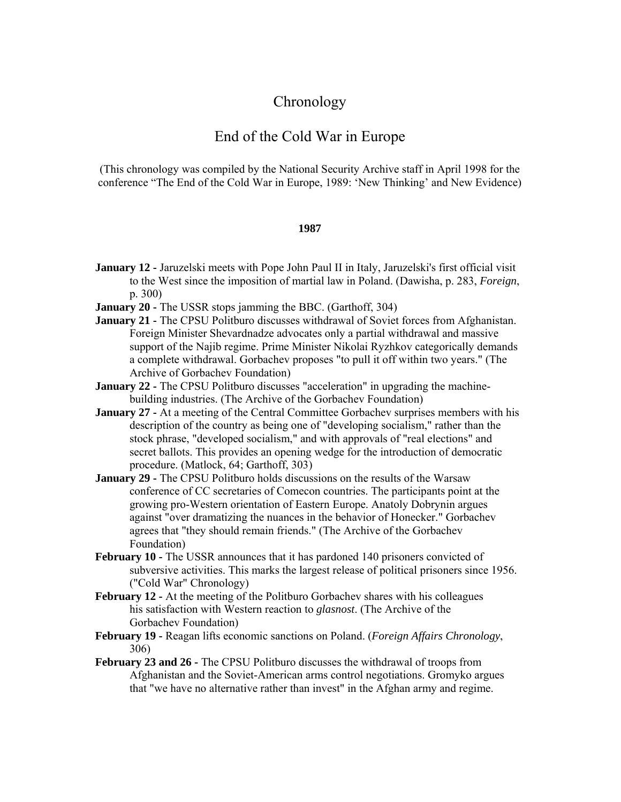# **Chronology**

## End of the Cold War in Europe

(This chronology was compiled by the National Security Archive staff in April 1998 for the conference "The End of the Cold War in Europe, 1989: 'New Thinking' and New Evidence)

## **1987**

- **January 12 -** Jaruzelski meets with Pope John Paul II in Italy, Jaruzelski's first official visit to the West since the imposition of martial law in Poland. (Dawisha, p. 283, *Foreign*, p. 300)
- **January 20 -** The USSR stops jamming the BBC. (Garthoff, 304)
- **January 21 -** The CPSU Politburo discusses withdrawal of Soviet forces from Afghanistan. Foreign Minister Shevardnadze advocates only a partial withdrawal and massive support of the Najib regime. Prime Minister Nikolai Ryzhkov categorically demands a complete withdrawal. Gorbachev proposes "to pull it off within two years." (The Archive of Gorbachev Foundation)
- **January 22 -** The CPSU Politburo discusses "acceleration" in upgrading the machinebuilding industries. (The Archive of the Gorbachev Foundation)
- **January 27 -** At a meeting of the Central Committee Gorbachev surprises members with his description of the country as being one of "developing socialism," rather than the stock phrase, "developed socialism," and with approvals of "real elections" and secret ballots. This provides an opening wedge for the introduction of democratic procedure. (Matlock, 64; Garthoff, 303)
- **January 29 -** The CPSU Politburo holds discussions on the results of the Warsaw conference of CC secretaries of Comecon countries. The participants point at the growing pro-Western orientation of Eastern Europe. Anatoly Dobrynin argues against "over dramatizing the nuances in the behavior of Honecker." Gorbachev agrees that "they should remain friends." (The Archive of the Gorbachev Foundation)
- **February 10 -** The USSR announces that it has pardoned 140 prisoners convicted of subversive activities. This marks the largest release of political prisoners since 1956. ("Cold War" Chronology)
- **February 12 -** At the meeting of the Politburo Gorbachev shares with his colleagues his satisfaction with Western reaction to *glasnost*. (The Archive of the Gorbachev Foundation)
- **February 19 -** Reagan lifts economic sanctions on Poland. (*Foreign Affairs Chronology*, 306)
- **February 23 and 26 -** The CPSU Politburo discusses the withdrawal of troops from Afghanistan and the Soviet-American arms control negotiations. Gromyko argues that "we have no alternative rather than invest" in the Afghan army and regime.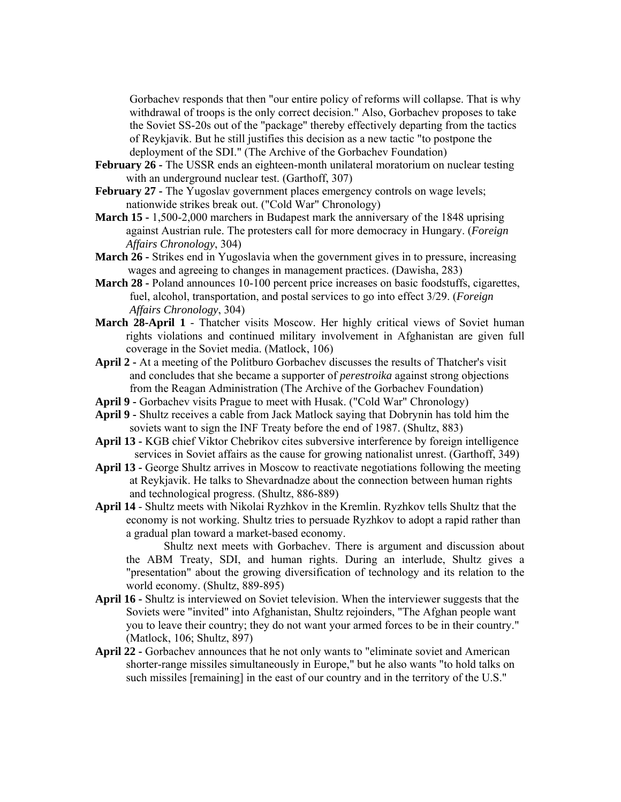Gorbachev responds that then "our entire policy of reforms will collapse. That is why withdrawal of troops is the only correct decision." Also, Gorbachev proposes to take the Soviet SS-20s out of the "package" thereby effectively departing from the tactics of Reykjavik. But he still justifies this decision as a new tactic "to postpone the deployment of the SDI." (The Archive of the Gorbachev Foundation)

- **February 26 -** Thе USSR ends an eighteen-month unilateral moratorium on nuclear testing with an underground nuclear test. (Garthoff, 307)
- **February 27 -** The Yugoslav government places emergency controls on wage levels; nationwide strikes break out. ("Cold War" Chronology)
- **March 15 -** 1,500-2,000 marchers in Budapest mark the anniversary of the 1848 uprising against Austrian rule. The protesters call for more democracy in Hungary. (*Foreign Affairs Chronology*, 304)
- **March 26 -** Strikes end in Yugoslavia when the government gives in to pressure, increasing wages and agreeing to changes in management practices. (Dawisha, 283)
- **March 28 -** Poland announces 10-100 percent price increases on basic foodstuffs, cigarettes, fuel, alcohol, transportation, and postal services to go into effect 3/29. (*Foreign Affairs Chronology*, 304)
- **March 28-April 1** Thatcher visits Moscow. Her highly critical views of Soviet human rights violations and continued military involvement in Afghanistan are given full coverage in the Soviet media. (Matlock, 106)
- **April 2 -** At a meeting of the Politburo Gorbachev discusses the results of Thatcher's visit and concludes that she became a supporter of *perestroika* against strong objections from the Reagan Administration (The Archive of the Gorbachev Foundation)
- **April 9 -** Gorbachev visits Prague to meet with Husak. ("Cold War" Chronology)
- **April 9 -** Shultz receives a cable from Jack Matlock saying that Dobrynin has told him the soviets want to sign the INF Treaty before the end of 1987. (Shultz, 883)
- **April 13 -** KGB chief Viktor Chebrikov cites subversive interference by foreign intelligence services in Soviet affairs as the cause for growing nationalist unrest. (Garthoff, 349)
- **April 13 -** George Shultz arrives in Moscow to reactivate negotiations following the meeting at Reykjavik. He talks to Shevardnadze about the connection between human rights and technological progress. (Shultz, 886-889)
- **April 14** Shultz meets with Nikolai Ryzhkov in the Kremlin. Ryzhkov tells Shultz that the economy is not working. Shultz tries to persuade Ryzhkov to adopt a rapid rather than a gradual plan toward a market-based economy.

Shultz next meets with Gorbachev. There is argument and discussion about the ABM Treaty, SDI, and human rights. During an interlude, Shultz gives a "presentation" about the growing diversification of technology and its relation to the world economy. (Shultz, 889-895)

- **April 16 -** Shultz is interviewed on Soviet television. When the interviewer suggests that the Soviets were "invited" into Afghanistan, Shultz rejoinders, "The Afghan people want you to leave their country; they do not want your armed forces to be in their country." (Matlock, 106; Shultz, 897)
- **April 22** Gorbachev announces that he not only wants to "eliminate soviet and American shorter-range missiles simultaneously in Europe," but he also wants "to hold talks on such missiles [remaining] in the east of our country and in the territory of the U.S."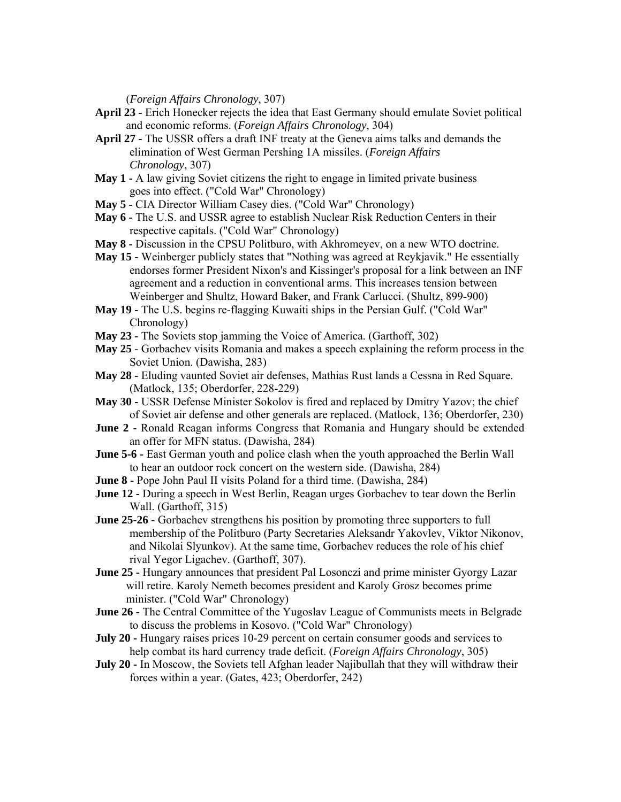(*Foreign Affairs Chronology*, 307)

- **April 23 -** Erich Honecker rejects the idea that East Germany should emulate Soviet political and economic reforms. (*Foreign Affairs Chronology*, 304)
- **April 27 -** The USSR offers a draft INF treaty at the Geneva aims talks and demands the elimination of West German Pershing 1A missiles. (*Foreign Affairs Chronology*, 307)
- **May 1** A law giving Soviet citizens the right to engage in limited private business goes into effect. ("Cold War" Chronology)
- **May 5 -** CIA Director William Casey dies. ("Cold War" Chronology)
- **May 6 -** The U.S. and USSR agree to establish Nuclear Risk Reduction Centers in their respective capitals. ("Cold War" Chronology)
- **May 8 -** Discussion in the CPSU Politburo, with Akhromeyev, on a new WTO doctrine.
- **May 15 -** Weinberger publicly states that "Nothing was agreed at Reykjavik." He essentially endorses former President Nixon's and Kissinger's proposal for a link between an INF agreement and a reduction in conventional arms. This increases tension between Weinberger and Shultz, Howard Baker, and Frank Carlucci. (Shultz, 899-900)
- **May 19 -** The U.S. begins re-flagging Kuwaiti ships in the Persian Gulf. ("Cold War" Chronology)
- **May 23 -** The Soviets stop jamming the Voice of America. (Garthoff, 302)
- **May 25** Gorbachev visits Romania and makes a speech explaining the reform process in the Soviet Union. (Dawisha, 283)
- **May 28 -** Eluding vaunted Soviet air defenses, Mathias Rust lands a Cessna in Red Square. (Matlock, 135; Oberdorfer, 228-229)
- **May 30 -** USSR Defense Minister Sokolov is fired and replaced by Dmitry Yazov; the chief of Soviet air defense and other generals are replaced. (Matlock, 136; Oberdorfer, 230)
- **June 2 -** Ronald Reagan informs Congress that Romania and Hungary should be extended an offer for MFN status. (Dawisha, 284)
- **June 5-6 -** East German youth and police clash when the youth approached the Berlin Wall to hear an outdoor rock concert on the western side. (Dawisha, 284)
- **June 8 -** Pope John Paul II visits Poland for a third time. (Dawisha, 284)
- **June 12 -** During a speech in West Berlin, Reagan urges Gorbachev to tear down the Berlin Wall. (Garthoff, 315)
- **June 25-26 -** Gorbachev strengthens his position by promoting three supporters to full membership of the Politburo (Party Secretaries Aleksandr Yakovlev, Viktor Nikonov, and Nikolai Slyunkov). At the same time, Gorbachev reduces the role of his chief rival Yegor Ligachev. (Garthoff, 307).
- **June 25 -** Hungary announces that president Pal Losonczi and prime minister Gyorgy Lazar will retire. Karoly Nemeth becomes president and Karoly Grosz becomes prime minister. ("Cold War" Chronology)
- **June 26 -** The Central Committee of the Yugoslav League of Communists meets in Belgrade to discuss the problems in Kosovo. ("Cold War" Chronology)
- **July 20 -** Hungary raises prices 10-29 percent on certain consumer goods and services to help combat its hard currency trade deficit. (*Foreign Affairs Chronology*, 305)
- **July 20 -** In Moscow, the Soviets tell Afghan leader Najibullah that they will withdraw their forces within a year. (Gates, 423; Oberdorfer, 242)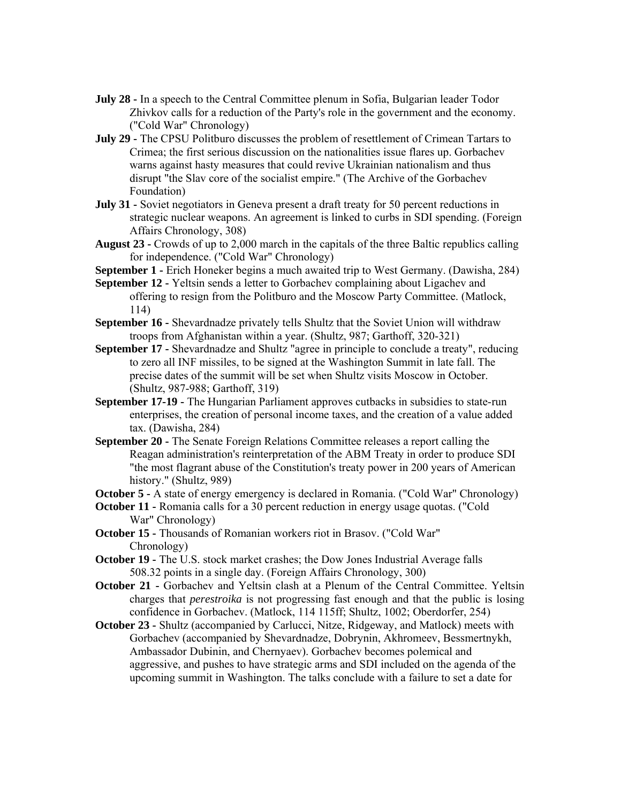- **July 28 -** In a speech to the Central Committee plenum in Sofia, Bulgarian leader Todor Zhivkov calls for a reduction of the Party's role in the government and the economy. ("Cold War" Chronology)
- **July 29 -** The CPSU Politburo discusses the problem of resettlement of Crimean Tartars to Crimea; the first serious discussion on the nationalities issue flares up. Gorbachev warns against hasty measures that could revive Ukrainian nationalism and thus disrupt "the Slav core of the socialist empire." (The Archive of the Gorbachev Foundation)
- **July 31 -** Soviet negotiators in Geneva present a draft treaty for 50 percent reductions in strategic nuclear weapons. An agreement is linked to curbs in SDI spending. (Foreign Affairs Chronology, 308)
- **August 23 -** Crowds of up to 2,000 march in the capitals of the three Baltic republics calling for independence. ("Cold War" Chronology)
- **September 1 -** Erich Honeker begins a much awaited trip to West Germany. (Dawisha, 284)
- **September 12 -** Yeltsin sends a letter to Gorbachev complaining about Ligachev and offering to resign from the Politburo and the Moscow Party Committee. (Matlock, 114)
- **September 16 -** Shevardnadze privately tells Shultz that the Soviet Union will withdraw troops from Afghanistan within a year. (Shultz, 987; Garthоff, 320-321)
- **September 17 -** Shevardnadze and Shultz "agree in principle to conclude a treaty", reducing to zero all INF missiles, to be signed at the Washington Summit in late fall. The precise dates of the summit will be set when Shultz visits Moscow in October. (Shultz, 987-988; Garthoff, 319)
- **September 17-19 -** The Hungarian Parliament approves cutbacks in subsidies to state-run enterprises, the creation of personal income taxes, and the creation of a value added tax. (Dawisha, 284)
- **September 20 -** The Senate Foreign Relations Committee releases a report calling the Reagan administration's reinterpretation of the ABM Treaty in order to produce SDI "the most flagrant abuse of the Constitution's treaty power in 200 years of American history." (Shultz, 989)

**October 5 -** A state of energy emergency is declared in Romania. ("Cold War" Chronology)

- **October 11 -** Romania calls for a 30 percent reduction in energy usage quotas. ("Cold War" Chronology)
- **October 15 -** Thousands of Romanian workers riot in Brasov. ("Cold War" Chronology)
- **October 19 -** The U.S. stock market crashes; the Dow Jones Industrial Average falls 508.32 points in a single day. (Foreign Affairs Chronology, 300)
- **October 21 -** Gorbachev and Yeltsin clash at a Plenum of the Central Committee. Yeltsin charges that *perestroika* is not progressing fast enough and that the public is losing confidence in Gorbachev. (Matlock, 114 115ff; Shultz, 1002; Oberdorfer, 254)
- **October 23 -** Shultz (accompanied by Carlucci, Nitze, Ridgeway, and Matlock) meets with Gorbachev (accompanied by Shevardnadze, Dobrynin, Akhromeev, Bessmertnykh, Ambassador Dubinin, and Chernyaev). Gorbachev becomes polemical and aggressive, and pushes to have strategic arms and SDI included on the agenda of the upcoming summit in Washington. The talks conclude with a failure to set a date for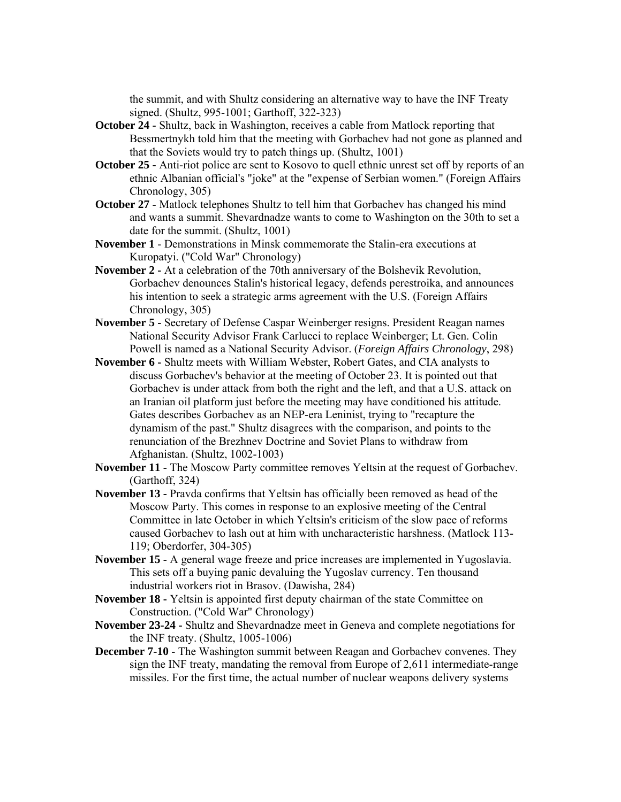the summit, and with Shultz considering an alternative way to have the INF Treaty signed. (Shultz, 995-1001; Garthoff, 322-323)

- **October 24 -** Shultz, back in Washington, receives a cable from Matlock reporting that Bessmertnykh told him that the meeting with Gorbachev had not gone as planned and that the Soviets would try to patch things up. (Shultz, 1001)
- **October 25 -** Anti-riot police are sent to Kosovo to quell ethnic unrest set off by reports of an ethnic Albanian official's "joke" at the "expense of Serbian women." (Foreign Affairs Chronology, 305)
- **October 27 -** Matlock telephones Shultz to tell him that Gorbachev has changed his mind and wants a summit. Shevardnadze wants to come to Washington on the 30th to set a date for the summit. (Shultz, 1001)
- **November 1** Demonstrations in Minsk commemorate the Stalin-era executions at Kuropatyi. ("Cold War" Chronology)
- **November 2 -** At a celebration of the 70th anniversary of the Bolshevik Revolution, Gorbachev denounces Stalin's historical legacy, defends perestroika, and announces his intention to seek a strategic arms agreement with the U.S. (Foreign Affairs Chronology, 305)
- **November 5 -** Secretary of Defense Caspar Weinberger resigns. President Reagan names National Security Advisor Frank Carlucci to replace Weinberger; Lt. Gen. Colin Powell is named as a National Security Advisor. (*Foreign Affairs Chronology*, 298)
- **November 6 -** Shultz meets with William Webster, Robert Gates, and CIA analysts to discuss Gorbachev's behavior at the meeting of October 23. It is pointed out that Gorbachev is under attack from both the right and the left, and that a U.S. attack on an Iranian oil platform just before the meeting may have conditioned his attitude. Gates describes Gorbachev as an NEP-era Leninist, trying to "recapture the dynamism of the past." Shultz disagrees with the comparison, and points to the renunciation of the Brezhnev Doctrine and Soviet Plans to withdraw from Afghanistan. (Shultz, 1002-1003)
- **November 11 -** The Moscow Party committee removes Yeltsin at the request of Gorbachev. (Garthoff, 324)
- **November 13 -** Pravda confirms that Yeltsin has officially been removed as head of the Moscow Party. This comes in response to an explosive meeting of the Central Committee in late October in which Yeltsin's criticism of the slow pace of reforms caused Gorbachev to lash out at him with uncharacteristic harshness. (Matlock 113- 119; Oberdorfer, 304-305)
- **November 15 -** A general wage freeze and price increases are implemented in Yugoslavia. This sets off a buying panic devaluing the Yugoslav currency. Ten thousand industrial workers riot in Brasov. (Dawisha, 284)
- **November 18 -** Yeltsin is appointed first deputy chairman of the state Committee on Construction. ("Cold War" Chronology)
- **November 23-24 -** Shultz and Shevardnadze meet in Geneva and complete negotiations for the INF treaty. (Shultz, 1005-1006)
- **December 7-10 -** The Washington summit between Reagan and Gorbachev convenes. They sign the INF treaty, mandating the removal from Europe of 2,611 intermediate-range missiles. For the first time, the actual number of nuclear weapons delivery systems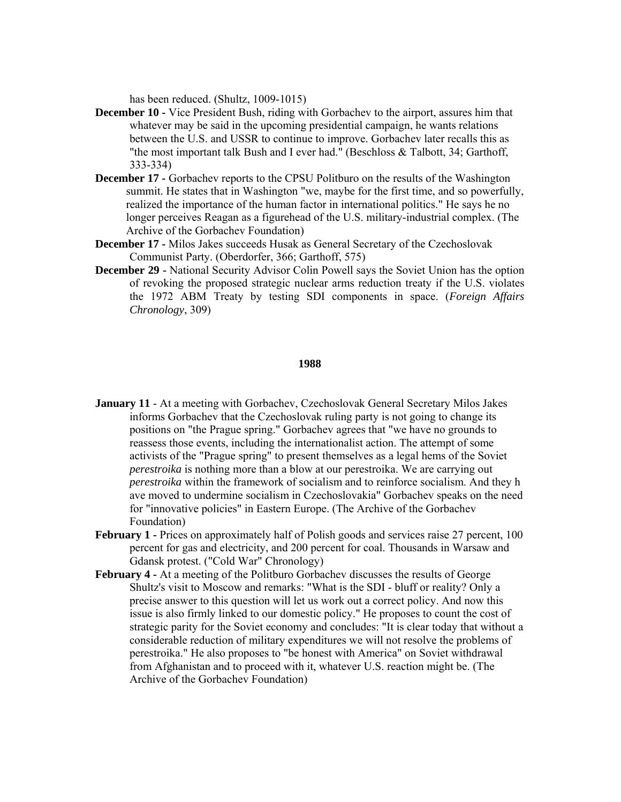has been reduced. (Shultz, 1009-1015)

- **December 10 -** Vice President Bush, riding with Gorbachev to the airport, assures him that whatever may be said in the upcoming presidential campaign, he wants relations between the U.S. and USSR to continue to improve. Gorbachev later recalls this as "the most important talk Bush and I ever had." (Beschloss & Talbott, 34; Garthoff, 333-334)
- **December 17 -** Gorbachev reports to the CPSU Politburo on the results of the Washington summit. He states that in Washington "we, maybe for the first time, and so powerfully, realized the importance of the human factor in international politics." He says he no longer perceives Reagan as a figurehead of the U.S. military-industrial complex. (The Archive of the Gorbachev Foundation)
- **December 17 -** Milos Jakes succeeds Husak as General Secretary of the Czechoslovak Communist Party. (Oberdorfer, 366; Garthoff, 575)
- **December 29 -** National Security Advisor Colin Powell says the Soviet Union has the option of revoking the proposed strategic nuclear arms reduction treaty if the U.S. violates the 1972 ABM Treaty by testing SDI components in space. (*Foreign Affairs Chronology*, 309)

### **1988**

- **January 11** At a meeting with Gorbachev, Czechoslovak General Secretary Milos Jakes informs Gorbachev that the Czechoslovak ruling party is not going to change its positions on "the Prague spring." Gorbachev agrees that "we have no grounds to reassess those events, including the internationalist action. The attempt of some activists of the "Prague spring" to present themselves as a legal hems of the Soviet *perestroika* is nothing more than a blow at our perestroika. We are carrying out *perestroika* within the framework of socialism and to reinforce socialism. And they h ave moved to undermine socialism in Czechoslovakia" Gorbachev speaks on the need for "innovative policies" in Eastern Europe. (The Archive of the Gorbachev Foundation)
- **February 1 -** Prices on approximately half of Polish goods and services raise 27 percent, 100 percent for gas and electricity, and 200 percent for coal. Thousands in Warsaw and Gdansk protest. ("Cold War" Chronology)
- **February 4 -** At a meeting of the Politburo Gorbachev discusses the results of George Shultz's visit to Moscow and remarks: "What is the SDI - bluff or reality? Only a precise answer to this question will let us work out a correct policy. And now this issue is also firmly linked to our domestic policy." He proposes to count the cost of strategic parity for the Soviet economy and concludes: "It is clear today that without a considerable reduction of military expenditures we will not resolve the problems of perestroika." He also proposes to "be honest with America" on Soviet withdrawal from Afghanistan and to proceed with it, whatever U.S. reaction might be. (The Archive of the Gorbachev Foundation)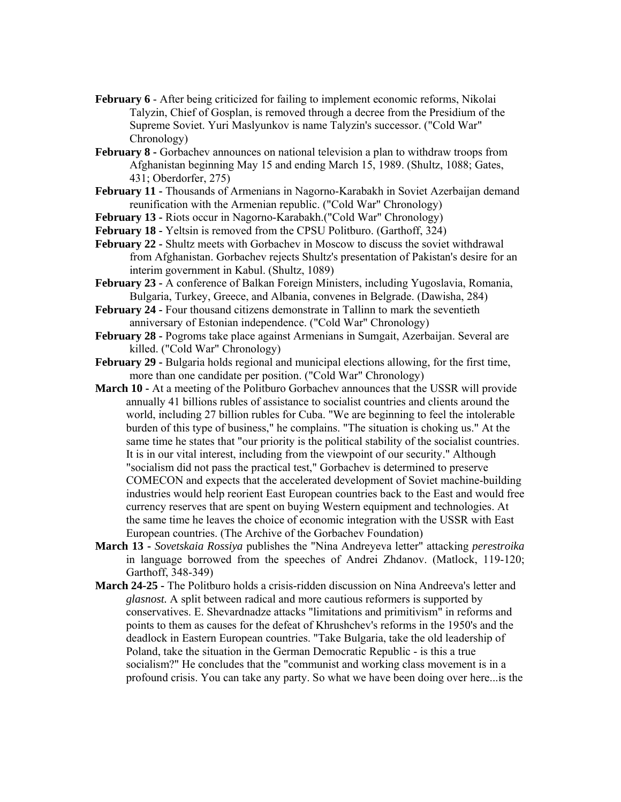- **February 6** After being criticized for failing to implement economic reforms, Nikolai Talyzin, Chief of Gosplan, is removed through a decree from the Presidium of the Supreme Soviet. Yuri Maslyunkov is name Talyzin's successor. ("Cold War" Chronology)
- **February 8 -** Gorbachev announces on national television a plan to withdraw troops from Afghanistan beginning May 15 and ending March 15, 1989. (Shultz, 1088; Gates, 431; Oberdorfer, 275)
- **February 11 -** Thousands of Armenians in Nagorno-Karabakh in Soviet Azerbaijan demand reunification with the Armenian republic. ("Cold War" Chronology)
- **February 13 -** Riots occur in Nagorno-Karabakh.("Cold War" Chronology)
- **February 18 -** Yeltsin is removed from the CPSU Politburo. (Garthoff, 324)
- **February 22 -** Shultz meets with Gorbachev in Moscow to discuss the soviet withdrawal from Afghanistan. Gorbachev rejects Shultz's presentation of Pakistan's desire for an interim government in Kabul. (Shultz, 1089)
- **February 23 -** A conference of Balkan Foreign Ministers, including Yugoslavia, Romania, Bulgaria, Turkey, Greece, and Albania, convenes in Belgrade. (Dawisha, 284)
- **February 24 -** Four thousand citizens demonstrate in Tallinn to mark the seventieth anniversary of Estonian independence. ("Cold War" Chronology)
- **February 28 -** Pogroms take place against Armenians in Sumgait, Azerbaijan. Several are killed. ("Cold War" Chronology)
- **February 29 -** Bulgaria holds regional and municipal elections allowing, for the first time, more than one candidate per position. ("Cold War" Chronology)
- **March 10 -** At a meeting of the Politburo Gorbachev announces that the USSR will provide annually 41 billions rubles of assistance to socialist countries and clients around the world, including 27 billion rubles for Cuba. "We are beginning to feel the intolerable burden of this type of business," he complains. "The situation is choking us." At the same time he states that "our priority is the political stability of the socialist countries. It is in our vital interest, including from the viewpoint of our security." Although "socialism did not pass the practical test," Gorbachev is determined to preserve COMECON and expects that the accelerated development of Soviet machine-building industries would help reorient East European countries back to the East and would free currency reserves that are spent on buying Western equipment and technologies. At the same time he leaves the choice of economic integration with the USSR with East European countries. (The Archive of the Gorbachev Foundation)
- **March 13 -** *Sovetskaia Rossiya* publishes the "Nina Andreyeva letter" attacking *perestroika* in language borrowed from the speeches of Andrei Zhdanov. (Matlock, 119-120; Garthoff, 348-349)
- **March 24-25** The Politburo holds a crisis-ridden discussion on Nina Andreeva's letter and *glasnost.* A split between radical and more cautious reformers is supported by conservatives. E. Shevardnadze attacks "limitations and primitivism" in reforms and points to them as causes for the defeat of Khrushchev's reforms in the 1950's and the deadlock in Eastern European countries. "Take Bulgaria, take the old leadership of Poland, take the situation in the German Democratic Republic - is this a true socialism?" He concludes that the "communist and working class movement is in a profound crisis. You can take any party. So what we have been doing over here...is the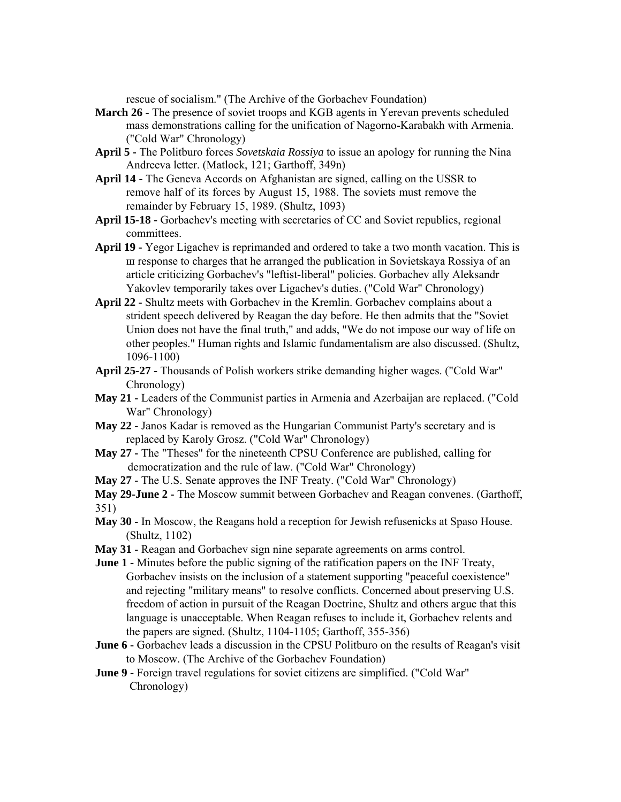rescue of socialism." (The Archive of the Gorbachev Foundation)

- **March 26 -** The presence of soviet troops and KGB agents in Yerevan prevents scheduled mass demonstrations calling for the unification of Nagorno-Karabakh with Armenia. ("Cold War" Chronology)
- **April 5 -** The Politburo forces *Sovetskaia Rossiya* to issue an apology for running the Nina Andreeva letter. (Matlock, 121; Garthoff, 349n)
- **April 14 -** The Geneva Accords on Afghanistan are signed, calling on the USSR to remove half of its forces by August 15, 1988. The soviets must remove the remainder by February 15, 1989. (Shultz, 1093)
- **April 15-18 -** Gorbachev's meeting with secretaries of CC and Soviet republics, regional committees.
- **April 19 -** Yegor Ligachev is reprimanded and ordered to take a two month vacation. This is ш response to charges that he arranged the publication in Sovietskaya Rossiya of an article criticizing Gorbachev's "leftist-liberal" policies. Gorbachev ally Aleksandr Yakovlev temporarily takes over Ligachev's duties. ("Cold War" Chronology)
- **April 22 -** Shultz meets with Gorbachev in the Kremlin. Gorbachev complains about a strident speech delivered by Reagan the day before. He then admits that the "Soviet Union does not have the final truth," and adds, "We do not impose our way of life on other peoples." Human rights and Islamic fundamentalism are also discussed. (Shultz, 1096-1100)
- **April 25-27 -** Thousands of Polish workers strike demanding higher wages. ("Cold War" Chronology)
- **May 21 -** Leaders of the Communist parties in Armenia and Azerbaijan are replaced. ("Cold War" Chronology)
- **May 22 -** Janos Kadar is removed as the Hungarian Communist Party's secretary and is replaced by Karoly Grosz. ("Cold War" Chronology)
- **May 27 -** The "Theses" for the nineteenth CPSU Conference are published, calling for democratization and the rule of law. ("Cold War" Chronology)
- **May 27 -** The U.S. Senate approves the INF Treaty. ("Cold War" Chronology)
- **May 29-June 2 -** The Moscow summit between Gorbachev and Reagan convenes. (Garthoff, 351)
- **May 30 -** In Moscow, the Reagans hold a reception for Jewish refusenicks at Spaso House. (Shultz, 1102)
- **May 31**  Reagan and Gorbachev sign nine separate agreements on arms control.
- **June 1** Minutes before the public signing of the ratification papers on the INF Treaty, Gorbachev insists on the inclusion of a statement supporting "peaceful coexistence" and rejecting "military means" to resolve conflicts. Concerned about preserving U.S. freedom of action in pursuit of the Reagan Doctrine, Shultz and others argue that this language is unacceptable. When Reagan refuses to include it, Gorbachev relents and the papers are signed. (Shultz, 1104-1105; Garthoff, 355-356)
- **June 6 -** Gorbachev leads a discussion in the CPSU Politburo on the results of Reagan's visit to Moscow. (The Archive of the Gorbachev Foundation)
- **June 9 -** Foreign travel regulations for soviet citizens are simplified. ("Cold War" Chronology)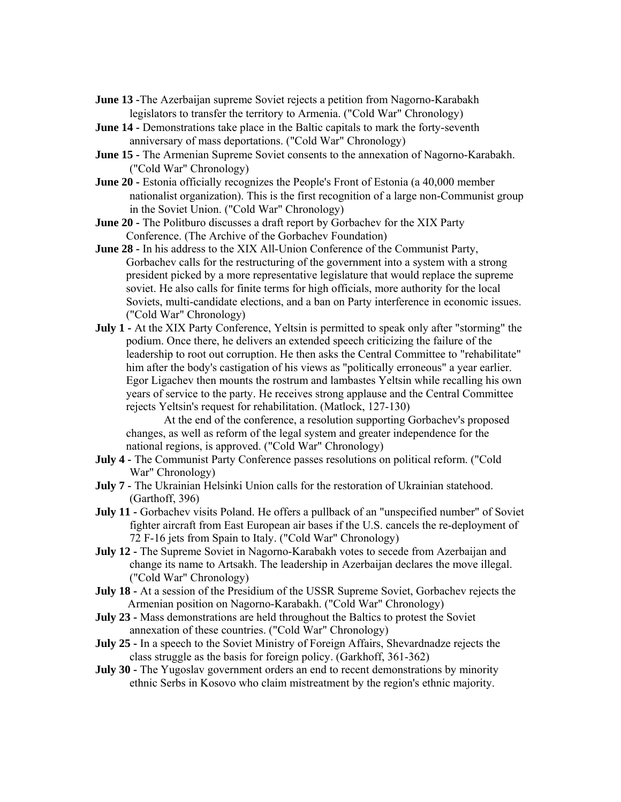- **June 13 -**The Azerbaijan supreme Soviet rejects a petition from Nagorno-Karabakh legislators to transfer the territory to Armenia. ("Cold War" Chronology)
- **June 14 -** Demonstrations take place in the Baltic capitals to mark the forty-seventh anniversary of mass deportations. ("Cold War" Chronology)
- **June 15 -** The Armenian Supreme Soviet consents to the annexation of Nagorno-Karabakh. ("Cold War" Chronology)
- **June 20 -** Estonia officially recognizes the People's Front of Estonia (a 40,000 member nationalist organization). This is the first recognition of a large non-Communist group in the Soviet Union. ("Cold War" Chronology)
- **June 20 -** The Politburo discusses a draft report by Gorbachev for the XIX Party Conference. (The Archive of the Gorbachev Foundation)
- **June 28 -** In his address to the XIX All-Union Conference of the Communist Party, Gorbachev calls for the restructuring of the government into a system with a strong president picked by a more representative legislature that would replace the supreme soviet. He also calls for finite terms for high officials, more authority for the local Soviets, multi-candidate elections, and a ban on Party interference in economic issues. ("Cold War" Chronology)
- **July 1** At the XIX Party Conference, Yeltsin is permitted to speak only after "storming" the podium. Once there, he delivers an extended speech criticizing the failure of the leadership to root out corruption. He then asks the Central Committee to "rehabilitate" him after the body's castigation of his views as "politically erroneous" a year earlier. Egor Ligachev then mounts the rostrum and lambastes Yeltsin while recalling his own years of service to the party. He receives strong applause and the Central Committee rejects Yeltsin's request for rehabilitation. (Matlock, 127-130)

At the end of the conference, a resolution supporting Gorbachev's proposed changes, as well as reform of the legal system and greater independence for the national regions, is approved. ("Cold War" Chronology)

- **July 4 -** The Communist Party Conference passes resolutions on political reform. ("Cold War" Chronology)
- **July 7 -** The Ukrainian Helsinki Union calls for the restoration of Ukrainian statehood. (Garthoff, 396)
- **July 11 -** Gorbachev visits Poland. He offers a pullback of an "unspecified number" of Soviet fighter aircraft from East European air bases if the U.S. cancels the re-deployment of 72 F-16 jets from Spain to Italy. ("Cold War" Chronology)
- **July 12 -** The Supreme Soviet in Nagorno-Karabakh votes to secede from Azerbaijan and change its name to Artsakh. The leadership in Azerbaijan declares the move illegal. ("Cold War" Chronology)
- **July 18 At a session of the Presidium of the USSR Supreme Soviet, Gorbachev rejects the** Armenian position on Nagorno-Karabakh. ("Cold War" Chronology)
- **July 23 -** Mass demonstrations are held throughout the Baltics to protest the Soviet annexation of these countries. ("Cold War" Chronology)
- **July 25 -** In a speech to the Soviet Ministry of Foreign Affairs, Shevardnadze rejects the class struggle as the basis for foreign policy. (Garkhoff, 361-362)
- **July 30 -** The Yugoslav government orders an end to recent demonstrations by minority ethnic Serbs in Kosovo who claim mistreatment by the region's ethnic majority.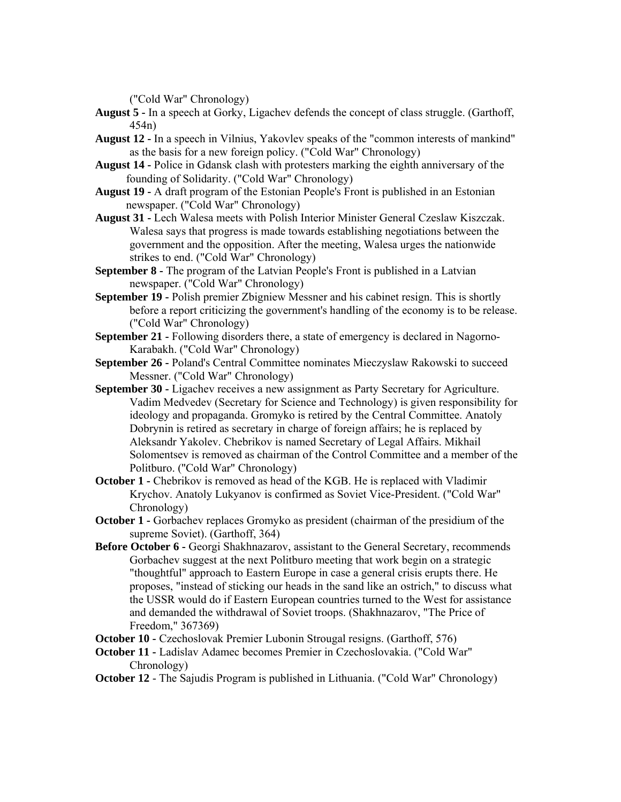("Cold War" Chronology)

- **August 5 -** In a speech at Gorky, Ligachev defends the concept of class struggle. (Garthoff, 454n)
- **August 12 -** In a speech in Vilnius, Yakovlev speaks of the "common interests of mankind" as the basis for a new foreign policy. ("Cold War" Chronology)
- **August 14 -** Police in Gdansk clash with protesters marking the eighth anniversary of the founding of Solidarity. ("Cold War" Chronology)
- **August 19 -** A draft program of the Estonian People's Front is published in an Estonian newspaper. ("Cold War" Chronology)
- **August 31 -** Lech Walesa meets with Polish Interior Minister General Czeslaw Kiszczak. Walesa says that progress is made towards establishing negotiations between the government and the opposition. After the meeting, Walesa urges the nationwide strikes to end. ("Cold War" Chronology)
- **September 8 -** The program of the Latvian People's Front is published in a Latvian newspaper. ("Cold War" Chronology)
- **September 19 -** Polish premier Zbigniew Messner and his cabinet resign. This is shortly before a report criticizing the government's handling of the economy is to be release. ("Cold War" Chronology)
- **September 21 Following disorders there, a state of emergency is declared in Nagorno-**Karabakh. ("Cold War" Chronology)
- **September 26 -** Poland's Central Committee nominates Mieczyslaw Rakowski to succeed Messner. ("Cold War" Chronology)
- **September 30 -** Ligachev receives a new assignment as Party Secretary for Agriculture. Vadim Medvedev (Secretary for Science and Technology) is given responsibility for ideology and propaganda. Gromyko is retired by the Central Committee. Anatoly Dobrynin is retired as secretary in charge of foreign affairs; he is replaced by Aleksandr Yakolev. Chebrikov is named Secretary of Legal Affairs. Mikhail Solomentsev is removed as chairman of the Control Committee and a member of the Politburo. (''Cold War" Chronology)
- **October 1 -** Chebrikov is removed as head of the KGB. He is replaced with Vladimir Krychov. Anatoly Lukyanov is confirmed as Soviet Vice-President. ("Cold War" Chronology)
- **October 1 -** Gorbachev replaces Gromyko as president (chairman of the presidium of the supreme Soviet). (Garthoff, 364)
- **Before October 6 -** Georgi Shakhnazarov, assistant to the General Secretary, recommends Gorbachev suggest at the next Politburo meeting that work begin on a strategic "thoughtful" approach to Eastern Europe in case a general crisis erupts there. He proposes, "instead of sticking our heads in the sand like an ostrich," to discuss what the USSR would do if Eastern European countries turned to the West for assistance and demanded the withdrawal of Soviet troops. (Shakhnazarov, "The Price of Freedom," 367369)
- **October 10 -** Czechoslovak Premier Lubonin Strougal resigns. (Garthoff, 576)
- **October 11 -** Ladislav Adamec becomes Premier in Czechoslovakia. ("Cold War" Chronology)
- **October 12** The Sajudis Program is published in Lithuania. ("Cold War" Chronology)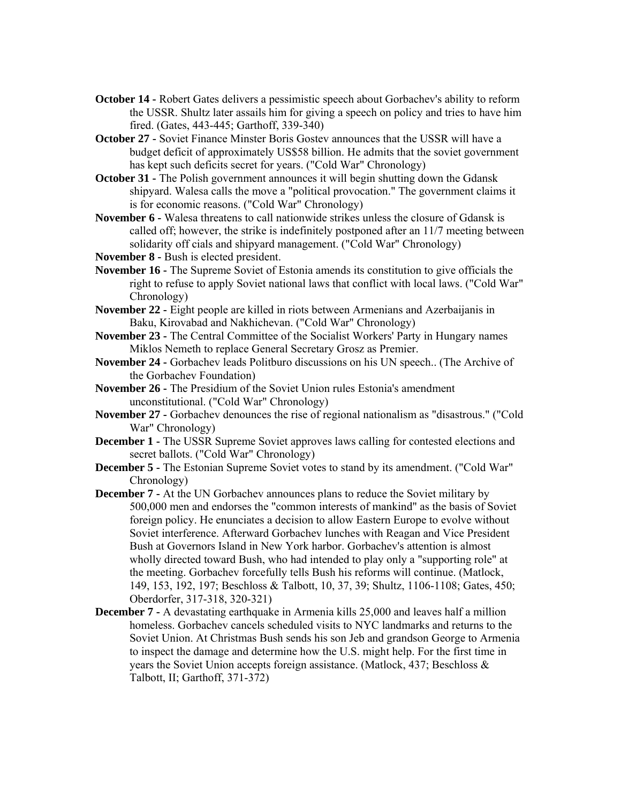- **October 14 -** Robert Gates delivers a pessimistic speech about Gorbachev's ability to reform the USSR. Shultz later assails him for giving a speech on policy and tries to have him fired. (Gates, 443-445; Garthoff, 339-340)
- **October 27** Soviet Finance Minster Boris Gostev announces that the USSR will have a budget deficit of approximately US\$58 billion. He admits that the soviet government has kept such deficits secret for years. ("Cold War" Chronology)
- **October 31 -** The Polish government announces it will begin shutting down the Gdansk shipyard. Walesa calls the move a "political provocation." The government claims it is for economic reasons. ("Cold War" Chronology)
- **November 6 -** Walesa threatens to call nationwide strikes unless the closure of Gdansk is called off; however, the strike is indefinitely postponed after an 11/7 meeting between solidarity off cials and shipyard management. ("Cold War" Chronology)
- **November 8 -** Bush is elected president.
- **November 16** The Supreme Soviet of Estonia amends its constitution to give officials the right to refuse to apply Soviet national laws that conflict with local laws. ("Cold War" Chronology)
- **November 22 -** Eight people are killed in riots between Armenians and Azerbaijanis in Baku, Kirovabad and Nakhichevan. ("Cold War" Chronology)
- **November 23 -** The Central Committee of the Socialist Workers' Party in Hungary names Miklos Nemeth to replace General Secretary Grosz as Premier.
- **November 24 -** Gorbachev leads Politburo discussions on his UN speech.. (The Archive of the Gorbachev Foundation)
- **November 26 -** The Presidium of the Soviet Union rules Estonia's amendment unconstitutional. ("Cold War" Chronology)
- **November 27 -** Gorbachev denounces the rise of regional nationalism as "disastrous." ("Cold War" Chronology)
- **December 1 -** The USSR Supreme Soviet approves laws calling for contested elections and secret ballots. ("Cold War" Chronology)
- **December 5 -** The Estonian Supreme Soviet votes to stand by its amendment. ("Cold War" Chronology)
- **December 7 -** At the UN Gorbachev announces plans to reduce the Soviet military by 500,000 men and endorses the "common interests of mankind" as the basis of Soviet foreign policy. He enunciates a decision to allow Eastern Europe to evolve without Soviet interference. Afterward Gorbachev lunches with Reagan and Vice President Bush at Governors Island in New York harbor. Gorbachev's attention is almost wholly directed toward Bush, who had intended to play only a "supporting role" at the meeting. Gorbachev forcefully tells Bush his reforms will continue. (Matlock, 149, 153, 192, 197; Beschloss & Talbott, 10, 37, 39; Shultz, 1106-1108; Gates, 450; Oberdorfer, 317-318, 320-321)
- **December 7 A** devastating earthquake in Armenia kills 25,000 and leaves half a million homeless. Gorbachev cancels scheduled visits to NYC landmarks and returns to the Soviet Union. At Christmas Bush sends his son Jeb and grandson George to Armenia to inspect the damage and determine how the U.S. might help. For the first time in years the Soviet Union accepts foreign assistance. (Matlock, 437; Beschloss & Talbott, II; Garthoff, 371-372)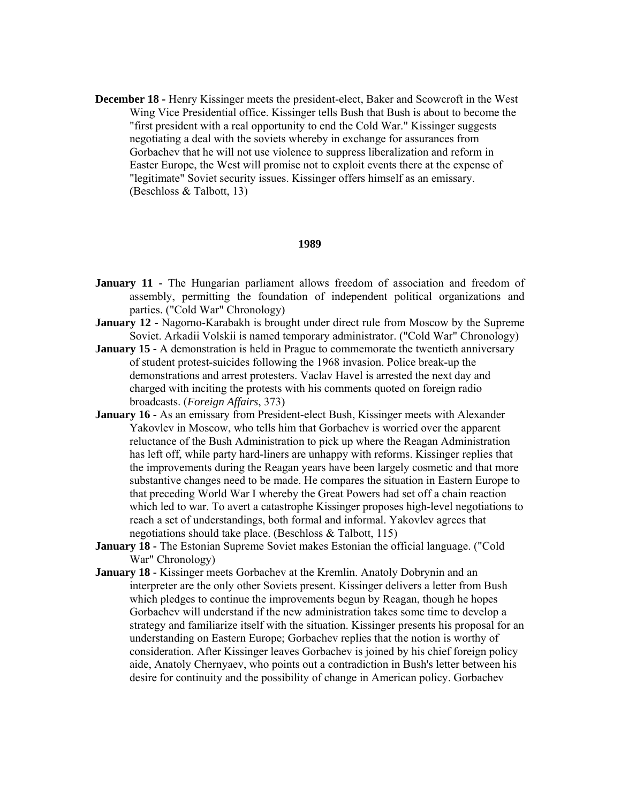**December 18 -** Henry Kissinger meets the president-elect, Baker and Scowcroft in the West Wing Vice Presidential office. Kissinger tells Bush that Bush is about to become the "first president with a real opportunity to end the Cold War." Kissinger suggests negotiating a deal with the soviets whereby in exchange for assurances from Gorbachev that he will not use violence to suppress liberalization and reform in Easter Europe, the West will promise not to exploit events there at the expense of "legitimate" Soviet security issues. Kissinger offers himself as an emissary. (Beschloss & Talbott, 13)

#### **1989**

- **January 11 -** The Hungarian parliament allows freedom of association and freedom of assembly, permitting the foundation of independent political organizations and parties. ("Cold War" Chronology)
- **January 12 -** Nagorno-Karabakh is brought under direct rule from Moscow by the Supreme Soviet. Arkadii Volskii is named temporary administrator. ("Cold War" Chronology)
- **January 15 -** A demonstration is held in Prague to commemorate the twentieth anniversary of student protest-suicides following the 1968 invasion. Police break-up the demonstrations and arrest protesters. Vaclav Havel is arrested the next day and charged with inciting the protests with his comments quoted on foreign radio broadcasts. (*Foreign Affairs*, 373)
- **January 16 -** As an emissary from President-elect Bush, Kissinger meets with Alexander Yakovlev in Moscow, who tells him that Gorbachev is worried over the apparent reluctance of the Bush Administration to pick up where the Reagan Administration has left off, while party hard-liners are unhappy with reforms. Kissinger replies that the improvements during the Reagan years have been largely cosmetic and that more substantive changes need to be made. He compares the situation in Eastern Europe to that preceding World War I whereby the Great Powers had set off a chain reaction which led to war. To avert a catastrophe Kissinger proposes high-level negotiations to reach a set of understandings, both formal and informal. Yakovlev agrees that negotiations should take place. (Beschloss & Talbott, 115)
- **January 18 -** The Estonian Supreme Soviet makes Estonian the official language. ("Cold War" Chronology)
- **January 18 -** Kissinger meets Gorbachev at the Kremlin. Anatoly Dobrynin and an interpreter are the only other Soviets present. Kissinger delivers a letter from Bush which pledges to continue the improvements begun by Reagan, though he hopes Gorbachev will understand if the new administration takes some time to develop a strategy and familiarize itself with the situation. Kissinger presents his proposal for an understanding on Eastern Europe; Gorbachev replies that the notion is worthy of consideration. After Kissinger leaves Gorbachev is joined by his chief foreign policy aide, Anatoly Chernyaev, who points out a contradiction in Bush's letter between his desire for continuity and the possibility of change in American policy. Gorbachev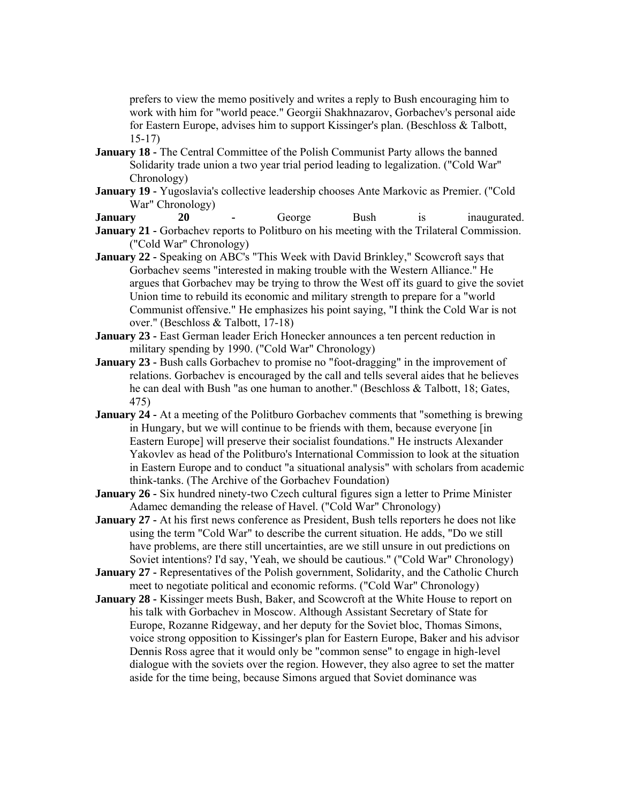prefers to view the memo positively and writes a reply to Bush encouraging him to work with him for "world peace." Georgii Shakhnazarov, Gorbachev's personal aide for Eastern Europe, advises him to support Kissinger's plan. (Beschloss & Talbott, 15-17)

- **January 18 -** The Central Committee of the Polish Communist Party allows the banned Solidarity trade union a two year trial period leading to legalization. ("Cold War" Chronology)
- **January 19 -** Yugoslavia's collective leadership chooses Ante Markovic as Premier. ("Cold War" Chronology)
- **January** 20 George Bush is inaugurated.
- **January 21 -** Gorbachev reports to Politburo on his meeting with the Trilateral Commission. ("Cold War" Chronology)
- **January 22** Speaking on ABC's "This Week with David Brinkley," Scowcroft says that Gorbachev seems "interested in making trouble with the Western Alliance." He argues that Gorbachev may be trying to throw the West off its guard to give the soviet Union time to rebuild its economic and military strength to prepare for a "world Communist offensive." He emphasizes his point saying, "I think the Cold War is not over." (Beschloss & Talbott, 17-18)
- **January 23 -** East German leader Erich Honecker announces a ten percent reduction in military spending by 1990. ("Cold War" Chronology)
- **January 23 -** Bush calls Gorbachev to promise no "foot-dragging" in the improvement of relations. Gorbachev is encouraged by the call and tells several aides that he believes he can deal with Bush "as one human to another." (Beschloss & Talbott, 18; Gates, 475)
- **January 24 -** At a meeting of the Politburo Gorbachev comments that "something is brewing in Hungary, but we will continue to be friends with them, because everyone [in Eastern Europe] will preserve their socialist foundations." He instructs Alexander Yakovlev as head of the Politburo's International Commission to look at the situation in Eastern Europe and to conduct "a situational analysis" with scholars from academic think-tanks. (The Archive of the Gorbachev Foundation)
- **January 26** Six hundred ninety-two Czech cultural figures sign a letter to Prime Minister Adamec demanding the release of Havel. ("Cold War" Chronology)
- **January 27 -** At his first news conference as President, Bush tells reporters he does not like using the term "Cold War" to describe the current situation. He adds, "Do we still have problems, are there still uncertainties, are we still unsure in out predictions on Soviet intentions? I'd say, 'Yeah, we should be cautious." ("Cold War" Chronology)
- **January 27 -** Representatives of the Polish government, Solidarity, and the Catholic Church meet to negotiate political and economic reforms. ("Cold War" Chronology)
- **January 28 -** Kissinger meets Bush, Baker, and Scowcroft at the White House to report on his talk with Gorbachev in Moscow. Although Assistant Secretary of State for Europe, Rozanne Ridgeway, and her deputy for the Soviet bloc, Thomas Simons, voice strong opposition to Kissinger's plan for Eastern Europe, Baker and his advisor Dennis Ross agree that it would only be "common sense" to engage in high-level dialogue with the soviets over the region. However, they also agree to set the matter aside for the time being, because Simons argued that Soviet dominance was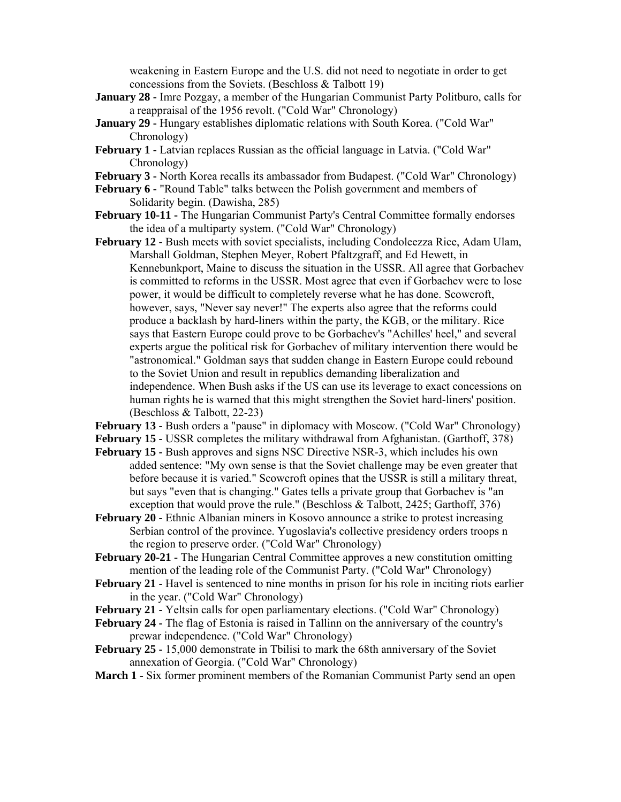weakening in Eastern Europe and the U.S. did not need to negotiate in order to get concessions from the Soviets. (Beschloss & Talbott 19)

- **January 28 -** Imre Pozgay, a member of the Hungarian Communist Party Politburo, calls for a reappraisal of the 1956 revolt. ("Cold War" Chronology)
- **January 29 -** Hungary establishes diplomatic relations with South Korea. ("Cold War" Chronology)
- **February 1 -** Latvian replaces Russian as the official language in Latvia. ("Cold War" Chronology)
- **February 3 -** North Korea recalls its ambassador from Budapest. ("Cold War" Chronology)
- **February 6 -** "Round Table" talks between the Polish government and members of Solidarity begin. (Dawisha, 285)
- **February 10-11 -** The Hungarian Communist Party's Central Committee formally endorses the idea of a multiparty system. ("Cold War" Chronology)
- **February 12 -** Bush meets with soviet specialists, including Condoleezza Rice, Adam Ulam, Marshall Goldman, Stephen Meyer, Robert Pfaltzgraff, and Ed Hewett, in Kennebunkport, Maine to discuss the situation in the USSR. All agree that Gorbachev is committed to reforms in the USSR. Most agree that even if Gorbachev were to lose power, it would be difficult to completely reverse what he has done. Scowcroft, however, says, "Never say never!" The experts also agree that the reforms could produce a backlash by hard-liners within the party, the KGB, or the military. Rice says that Eastern Europe could prove to be Gorbachev's "Achilles' heel," and several experts argue the political risk for Gorbachev of military intervention there would be "astronomical." Goldman says that sudden change in Eastern Europe could rebound to the Soviet Union and result in republics demanding liberalization and independence. When Bush asks if the US can use its leverage to exact concessions on human rights he is warned that this might strengthen the Soviet hard-liners' position. (Beschloss & Talbott, 22-23)

**February 13 -** Bush orders a "pause" in diplomacy with Moscow. ("Cold War" Chronology)

**February 15 -** USSR completes the military withdrawal from Afghanistan. (Garthoff, 378)

- **February 15 -** Bush approves and signs NSC Directive NSR-3, which includes his own added sentence: "My own sense is that the Soviet challenge may be even greater that before because it is varied." Scowcroft opines that the USSR is still a military threat, but says "even that is changing." Gates tells a private group that Gorbachev is "an exception that would prove the rule." (Beschloss & Talbott, 2425; Garthoff, 376)
- **February 20 -** Ethnic Albanian miners in Kosovo announce a strike to protest increasing Serbian control of the province. Yugoslavia's collective presidency orders troops n the region to preserve order. ("Cold War" Chronology)
- **February 20-21 -** The Hungarian Central Committee approves a new constitution omitting mention of the leading role of the Communist Party. ("Cold War" Chronology)
- **February 21 -** Havel is sentenced to nine months in prison for his role in inciting riots earlier in the year. ("Cold War" Chronology)
- **February 21 -** Yeltsin calls for open parliamentary elections. ("Cold War" Chronology)
- **February 24** The flag of Estonia is raised in Tallinn on the anniversary of the country's prewar independence. ("Cold War" Chronology)
- **February 25 -** 15,000 demonstrate in Tbilisi to mark the 68th anniversary of the Soviet annexation of Georgia. ("Cold War" Chronology)
- **March 1 -** Six former prominent members of the Romanian Communist Party send an open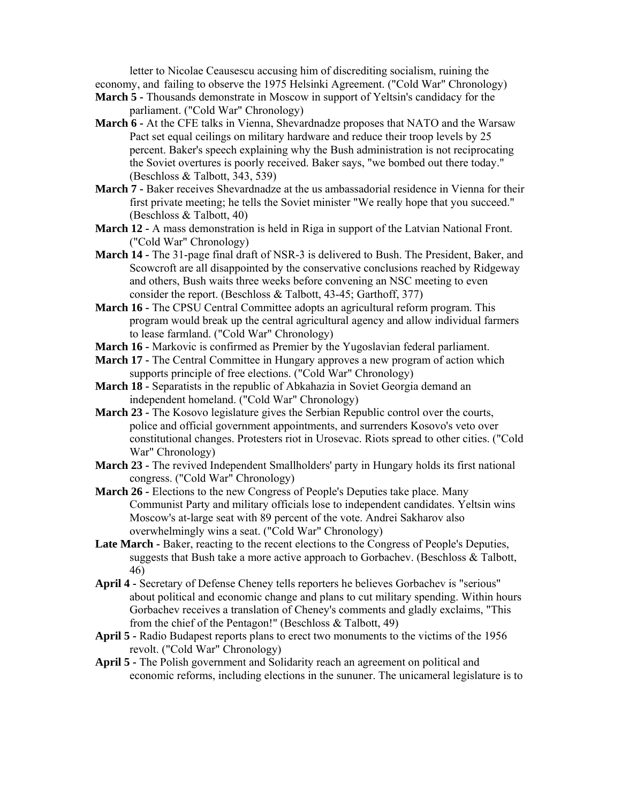letter to Nicolae Ceausescu accusing him of discrediting socialism, ruining the economy, and failing to observe the 1975 Helsinki Agreement. ("Cold War" Chronology)

- **March 5 -** Thousands demonstrate in Moscow in support of Yeltsin's candidacy for the parliament. ("Cold War" Chronology)
- **March 6 -** At the CFE talks in Vienna, Shevardnadze proposes that NATO and the Warsaw Pact set equal ceilings on military hardware and reduce their troop levels by 25 percent. Baker's speech explaining why the Bush administration is not reciprocating the Soviet overtures is poorly received. Baker says, "we bombed out there today." (Beschloss & Talbott, 343, 539)
- **March 7 -** Baker receives Shevardnadze at the us ambassadorial residence in Vienna for their first private meeting; he tells the Soviеt minister "We really hope that you succeed." (Beschloss & Talbott, 40)
- **March 12 -** A mass demonstration is held in Riga in support of the Latvian National Front. ("Cold War" Chronology)
- **March 14** The 31-page final draft of NSR-3 is delivered to Bush. The President, Baker, and Scowcroft are all disappointed by the conservative conclusions reached by Ridgeway and others, Bush waits three weeks before convening an NSC meeting to even consider the report. (Beschloss & Talbott, 43-45; Garthoff, 377)
- **March 16 -** The CPSU Central Committee adopts an agricultural reform program. This program would break up the central agricultural agency and allow individual farmers to lease farmland. ("Cold War" Chronology)
- **March 16 -** Markovic is confirmed as Premier by the Yugoslavian federal parliament.
- **March 17 -** The Central Committee in Hungary approves a new program of action which supports principle of free elections. ("Cold War" Chronology)
- **March 18 -** Separatists in the republic of Abkahazia in Soviet Georgia demand an independent homeland. ("Cold War" Chronology)
- **March 23 -** The Kosovo legislature gives the Serbian Republic control over the courts, police and official government appointments, and surrenders Kosovo's veto over constitutional changes. Protesters riot in Urosevac. Riots spread to other cities. ("Cold War" Chronology)
- **March 23 -** The revived Independent Smallholders' party in Hungary holds its first national congress. ("Cold War" Chronology)
- **March 26** Elections to the new Congress of People's Deputies take place. Many Communist Party and military officials lose to independent candidates. Yeltsin wins Moscow's at-large seat with 89 percent of the vote. Andrei Sakharov also overwhelmingly wins a seat. ("Cold War" Chronology)
- **Late March -** Baker, reacting to the recent elections to the Congress of People's Deputies, suggests that Bush take a more active approach to Gorbachev. (Beschloss & Talbott, 46)
- **April 4 -** Secretary of Defense Cheney tells reporters he believes Gorbachev is "serious" about political and economic change and plans to cut military spending. Within hours Gorbachev receives a translation of Cheney's comments and gladly exclaims, "This from the chief of the Pentagon!" (Beschloss & Talbott, 49)
- **April 5 -** Radio Budapest reports plans to erect two monuments to the victims of the 1956 revolt. ("Cold War" Chronology)
- **April 5 -** The Polish government and Solidarity reach an agreement on political and economic reforms, including elections in the sununer. The unicameral legislature is to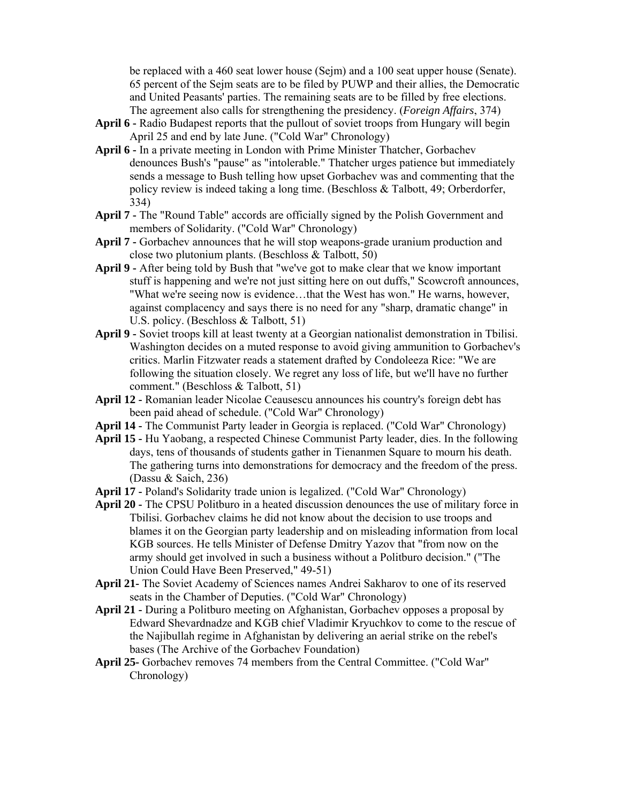be replaced with a 460 seat lower house (Sejm) and a 100 seat upper house (Senate). 65 percent of the Sejm seats are to be filed by PUWP and their allies, the Democratic and United Peasants' parties. The remaining seats are to be filled by free elections. The agreement also calls for strengthening the presidency. (*Foreign Affairs*, 374)

- **April 6 -** Radio Budapest reports that the pullout of soviet troops from Hungary will begin April 25 and end by late June. ("Cold War" Chronology)
- **April 6 -** In a private meeting in London with Prime Minister Thatcher, Gorbachev denounces Bush's "pause" as "intolerable." Thatcher urges patience but immediately sends a message to Bush telling how upset Gorbachev was and commenting that the policy review is indeed taking a long time. (Beschloss & Talbott, 49; Orberdorfer, 334)
- **April 7 -** The "Round Table" accords are officially signed by the Polish Government and members of Solidarity. ("Cold War" Chronology)
- **April 7 -** Gorbachev announces that he will stop weapons-grade uranium production and close two plutonium plants. (Beschloss & Talbott, 50)
- **April 9 -** After being told by Bush that "we've got to make clear that we know important stuff is happening and we're not just sitting here on out duffs," Scowcroft announces, "What we're seeing now is evidence…that the West has won." He warns, however, against complacency and says there is no need for any "sharp, dramatic change" in U.S. policy. (Beschloss & Talbott, 51)
- **April 9 -** Soviet troops kill at least twenty at a Georgian nationalist demonstration in Tbilisi. Washington decides on a muted response to avoid giving ammunition to Gorbachev's critics. Marlin Fitzwater reads a statement drafted by Condoleeza Rice: "We are following the situation closely. We regret any loss of life, but we'll have no further comment." (Beschloss & Talbott, 51)
- **April 12 -** Romanian leader Nicolae Ceausescu announces his country's foreign debt has been paid ahead of schedule. ("Cold War" Chronology)
- **April 14** Тhe Communist Party leader in Georgia is replaced. ("Cold War" Chronology)
- **April 15 -** Hu Yaobang, a respected Chinese Communist Party leader, dies. In the following days, tens of thousands of students gather in Tienanmen Square to mourn his death. The gathering turns into demonstrations for democracy and the freedom of the press. (Dassu & Saich, 236)
- **April 17 -** Poland's Solidarity trade union is legalized. ("Cold War" Chronology)
- **April 20 -** The CPSU Politburo in a heated discussion denounces the use of military force in Tbilisi. Gorbachev claims he did not know about the decision to use troops and blames it on the Georgian party leadership and on misleading information from local KGB sources. He tells Minister of Defense Dmitry Yazov that "from now on the army should get involved in such a business without a Politburo decision." ("The Union Could Have Been Preserved," 49-51)
- **April 21-** The Soviet Academy of Sciences names Andrei Sakharov to one of its reserved seats in the Chamber of Deputies. ("Cold War" Chronology)
- **April 21 -** During a Politburo meeting on Afghanistan, Gorbachev opposes a proposal by Edward Shevardnadze and KGB chief Vladimir Kryuchkov to come to the rescue of the Najibullah regime in Afghanistan by delivering an aerial strike on the rebel's bases (The Archive of the Gorbachev Foundation)
- **April 25-** Gorbachev removes 74 members from the Central Committee. ("Cold War" Chronology)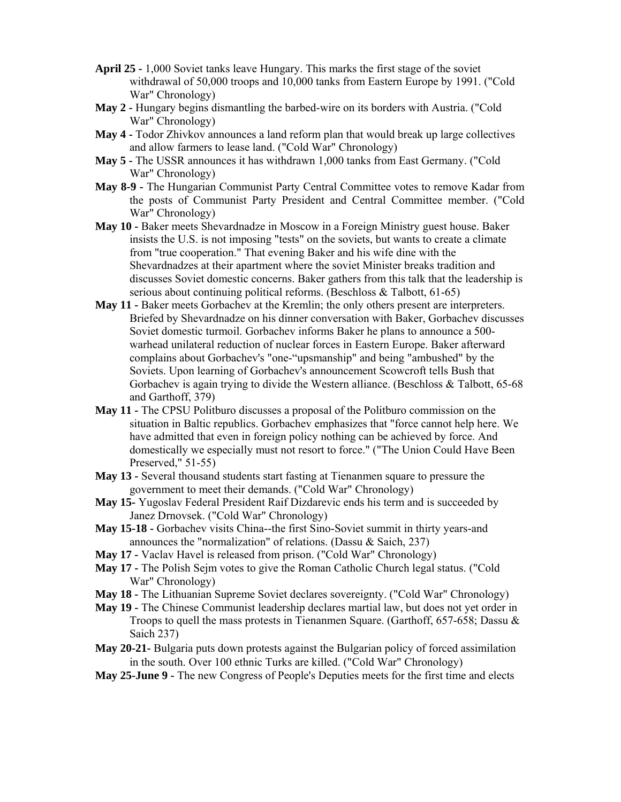- **April 25 -** 1,000 Soviet tanks leave Hungary. This marks the first stage of the soviet withdrawal of 50,000 troops and 10,000 tanks from Eastern Europe by 1991. ("Cold War" Chronology)
- **May 2 -** Hungary begins dismantling the barbed-wire on its borders with Austria. ("Cold War" Chronology)
- **May 4** Todor Zhivkov announces a land reform plan that would break up large collectives and allow farmers to lease land. ("Cold War" Chronology)
- **May 5 -** The USSR announces it has withdrawn 1,000 tanks from East Germany. ("Cold War" Chronology)
- **May 8-9 -** The Hungarian Communist Party Central Committee votes to remove Kadar from the posts of Communist Party President and Central Committee member. ("Cold War" Chronology)
- **May 10 -** Baker meets Shevardnadze in Moscow in a Foreign Ministry guest house. Baker insists the U.S. is not imposing "tests" on the soviets, but wants to create a climate from "true cooperation." That evening Baker and his wife dine with the Shevardnadzes at their apartment where the soviet Minister breaks tradition and discusses Soviet domestic concerns. Baker gathers from this talk that the leadership is serious about continuing political reforms. (Beschloss & Talbott, 61-65)
- **May 11 -** Baker meets Gorbachev at the Kremlin; the only others present are interpreters. Briefed by Shevardnadze on his dinner conversation with Baker, Gorbachev discusses Soviet domestic turmoil. Gorbachev informs Baker he plans to announce a 500 warhead unilateral reduction of nuclear forces in Eastern Europe. Baker afterward complains about Gorbachev's "one-"upsmanship" and being "ambushed" by the Soviets. Upon learning of Gorbachev's announcement Scowcroft tells Bush that Gorbachev is again trying to divide the Western alliance. (Beschloss & Talbott, 65-68) and Garthoff, 379)
- **May 11 -** The CPSU Politburo discusses a proposal of the Politburo commission on the situation in Baltic republics. Gorbachev emphasizes that "force cannot help here. We have admitted that even in foreign policy nothing can be achieved by force. And domestically we especially must not resort to force." ("The Union Could Have Been Preserved," 51-55)
- **May 13 -** Several thousand students start fasting at Tienanmen square to pressure the government to meet their demands. ("Cold War" Chronology)
- **May 15-** Yugoslav Federal President Raif Dizdarevic ends his term and is succeeded by Janez Drnovsek. ("Cold War" Chronology)
- **May 15-18 -** Gorbachev visits China--the first Sino-Soviet summit in thirty years-and announces the "normalization" of relations. (Dassu & Saich, 237)
- **May 17 -** Vaclav Havel is released from prison. ("Cold War" Chronology)
- **May 17 -** The Polish Sejm votes to give the Roman Catholic Church legal status. ("Cold War" Chronology)
- **May 18 -** The Lithuanian Supreme Soviet declares sovereignty. ("Cold War" Chronology)
- **May 19 -** The Chinese Communist leadership declares martial law, but does not yet order in Troops to quell the mass protests in Tienanmen Square. (Garthoff, 657-658; Dassu & Saich 237)
- **May 20-21-** Bulgaria puts down protests against the Bulgarian policy of forced assimilation in the south. Over 100 ethnic Turks are killed. ("Cold War" Chronology)
- **May 25-June 9 -** The new Congress of People's Deputies meets for the first time and elects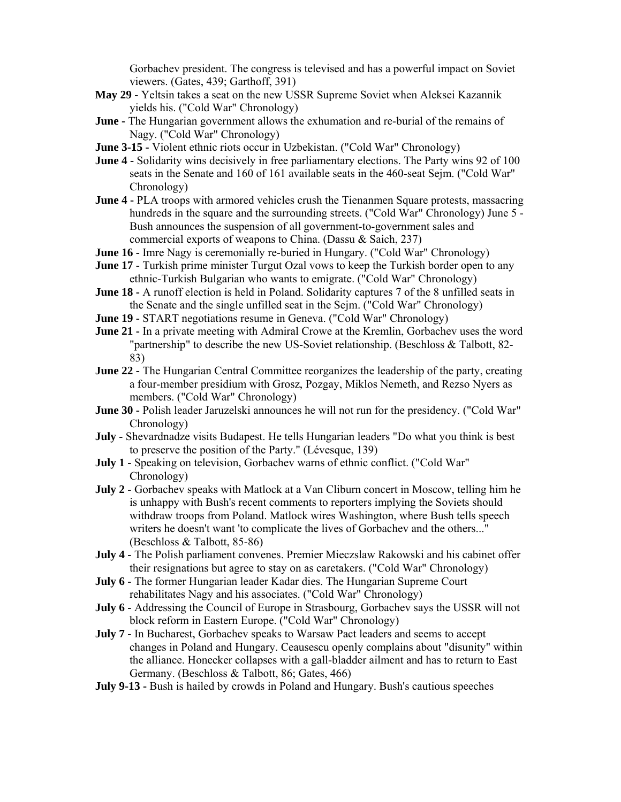Gorbachev president. The congress is televised and has a powerful impact on Soviet viewers. (Gates, 439; Garthoff, 391)

- **May 29 -** Yeltsin takes a seat on the new USSR Supreme Soviet when Aleksei Kazannik yields his. ("Cold War" Chronology)
- **June -** The Hungarian government allows the exhumation and re-burial of the remains of Nagy. ("Cold War" Chronology)
- **June 3-15** Violent ethnic riots occur in Uzbekistan. ("Cold War" Chronology)
- **June 4** Solidarity wins decisively in free parliamentary elections. The Party wins 92 of 100 seats in the Senate and 160 of 161 available seats in the 460-seat Sejm. ("Cold War" Chronology)
- **June 4 -** PLA troops with armored vehicles crush the Tienanmen Square protests, massacring hundreds in the square and the surrounding streets. ("Cold War" Chronology) June 5 - Bush announces the suspension of all government-to-government sales and commercial exports of weapons to China. (Dassu & Saich, 237)
- **June 16** Imre Nagy is ceremonially re-buried in Hungary. ("Cold War" Chronology)
- **June 17 -** Turkish prime minister Turgut Ozal vows to keep the Turkish border open to any ethnic-Turkish Bulgarian who wants to emigrate. ("Cold War" Chronology)
- **June 18 -** A runoff election is held in Poland. Solidarity captures 7 of the 8 unfilled seats in the Senate and the single unfilled seat in the Sejm. ("Cold War" Chronology)
- **June 19 -** START negotiations resume in Geneva. ("Cold War" Chronology)
- **June 21 -** In a private meeting with Admiral Crowe at the Kremlin, Gorbachev uses the word "partnership" to describe the new US-Soviet relationship. (Beschloss & Talbott, 82- 83)
- **June 22 -** The Hungarian Central Committee reorganizes the leadership of the party, creating a four-member presidium with Grosz, Pozgay, Miklos Nemeth, and Rezso Nyers as members. ("Cold War" Chronology)
- **June 30 -** Polish leader Jaruzelski announces he will not run for the presidency. ("Cold War" Chronology)
- **July -** Shevardnadze visits Budapest. He tells Hungarian leaders "Do what you think is best to preserve the position of the Party." (Lévesque, 139)
- **July 1 -** Speaking on television, Gorbachev warns of ethnic conflict. ("Cold War" Chronology)
- **July 2 -** Gorbachev speaks with Matlock at a Van Cliburn concert in Moscow, telling him he is unhappy with Bush's recent comments to reporters implying the Soviets should withdraw troops from Poland. Matlock wires Washington, where Bush tells speech writers he doesn't want 'to complicate the lives of Gorbachev and the others..." (Beschloss & Talbott, 85-86)
- **July 4 -** The Polish parliament convenes. Premier Mieczslaw Rakowski and his cabinet offer their resignations but agree to stay on as caretakers. ("Cold War" Chronology)
- **July 6 -** The former Hungarian leader Kadar dies. The Hungarian Supreme Court rehabilitates Nagy and his associates. ("Cold War" Chronology)
- **July 6 -** Addressing the Council of Europe in Strasbourg, Gorbachev says the USSR will not block reform in Eastern Europe. ("Cold War" Chronology)
- **July 7 -** In Bucharest, Gorbachev speaks to Warsaw Pact leaders and seems to accept changes in Poland and Hungary. Ceausescu openly complains about "disunity" within the alliance. Honecker collapses with a gall-bladder ailment and has to return to East Germany. (Beschloss & Talbott, 86; Gates, 466)
- **July 9-13 -** Bush is hailed by crowds in Poland and Hungary. Bush's cautious speeches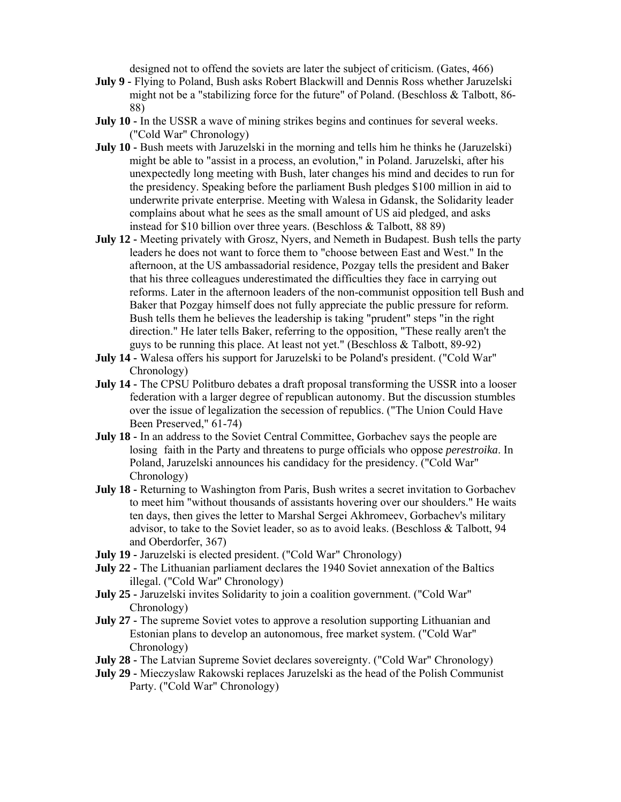designed not to offend the soviets are later the subject of criticism. (Gates, 466)

- **July 9 -** Flying to Poland, Bush asks Robert Blackwill and Dennis Ross whether Jaruzelski might not be a "stabilizing force for the future" of Poland. (Beschloss & Talbott, 86- 88)
- **July 10 -** In the USSR a wave of mining strikes begins and continues for several weeks. ("Cold War" Chronology)
- **July 10** Bush meets with Jaruzelski in the morning and tells him he thinks he (Jaruzelski) might be able to "assist in a process, an evolution," in Poland. Jaruzelski, after his unexpectedly long meeting with Bush, later changes his mind and decides to run for the presidency. Speaking before the parliament Bush pledges \$100 million in aid to underwrite private enterprise. Meeting with Walesa in Gdansk, the Solidarity leader complains about what he sees as the small amount of US aid pledged, and asks instead for \$10 billion over three years. (Beschloss & Talbott, 88 89)
- **July 12 -** Meeting privately with Grosz, Nyers, and Nemeth in Budapest. Bush tells the party leaders he does not want to force them to "choose between East and West." In the afternoon, at the US ambassadorial residence, Pozgay tells the president and Baker that his three colleagues underestimated the difficulties they face in carrying out reforms. Later in the afternoon leaders of the non-communist opposition tell Bush and Baker that Pozgay himself does not fully appreciate the public pressure for reform. Bush tells them he believes the leadership is taking "prudent" steps "in the right direction." He later tells Baker, referring to the opposition, "These really aren't the guys to be running this place. At least not yet." (Beschloss  $\&$  Talbott, 89-92)
- **July 14** Walesa offers his support for Jaruzelski to be Poland's president. ("Cold War" Chronology)
- **July 14 -** The CPSU Politburo debates a draft proposal transforming the USSR into a looser federation with a larger degree of republican autonomy. But the discussion stumbles over the issue of legalization the secession of republics. ("The Union Could Have Been Preserved," 61-74)
- **July 18 -** In an address to the Soviet Central Committee, Gorbachev says the people are losing faith in the Party and threatens to purge officials who oppose *perestroika*. In Poland, Jaruzelski announces his candidacy for the presidency. ("Cold War" Chronology)
- **July 18 -** Returning to Washington from Paris, Bush writes a secret invitation to Gorbachev to meet him "without thousands of assistants hovering over our shoulders." He waits ten days, then gives the letter to Marshal Sergei Akhromeev, Gorbachev's military advisor, to take to the Soviet leader, so as to avoid leaks. (Beschloss & Talbott, 94 and Oberdorfer, 367)
- **July 19 -** Jaruzelski is elected president. ("Cold War" Chronology)
- **July 22 -** The Lithuanian parliament declares the 1940 Soviet annexation of the Baltics illegal. ("Cold War" Chronology)
- **July 25 -** Jaruzelski invites Solidarity to join a coalition government. ("Cold War" Chronology)
- **July 27 -** The supreme Soviet votes to approve a resolution supporting Lithuanian and Estonian plans to develop an autonomous, free market system. ("Cold War" Chronology)
- **July 28 -** The Latvian Supreme Soviet declares sovereignty. ("Cold War" Chronology)
- **July 29 -** Mieczyslaw Rakowski replaces Jaruzelski as the head of the Polish Communist Party. ("Cold War" Chronology)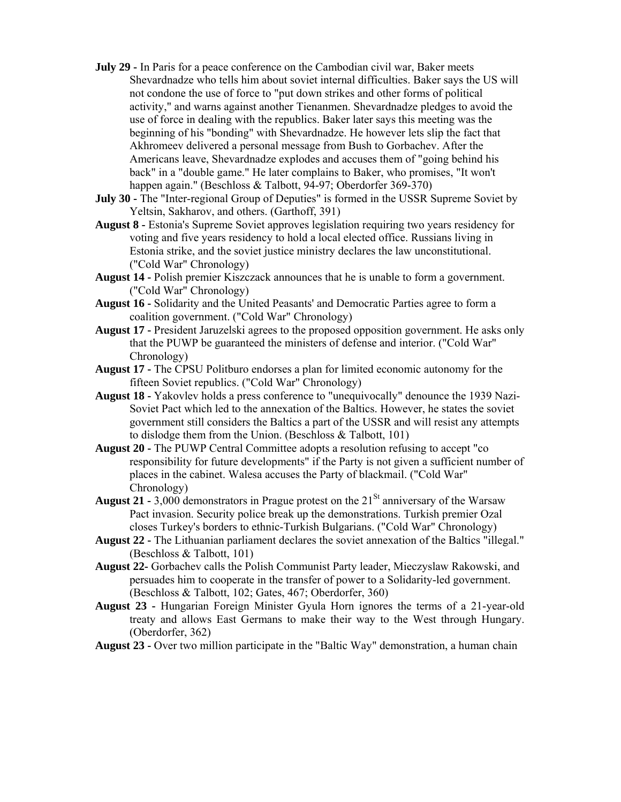- **July 29 -** In Paris for a peace conference on the Cambodian civil war, Baker meets Shevardnadze who tells him about soviet internal difficulties. Baker says the US will not condone the use of force to "put down strikes and other forms of political activity," and warns against another Tienanmen. Shevardnadze pledges to avoid the use of force in dealing with the republics. Baker later says this meeting was the beginning of his "bonding" with Shevardnadze. He however lets slip the fact that Akhromeev delivered a personal message from Bush to Gorbachev. After the Americans leave, Shevardnadze explodes and accuses them of "going behind his back" in a "double game." He later complains to Baker, who promises, "It won't happen again." (Beschloss & Talbott, 94-97; Oberdorfer 369-370)
- **July 30 -** The "Inter-regional Group of Deputies" is formed in the USSR Supreme Soviet by Yeltsin, Sakharov, and others. (Garthoff, 391)
- **August 8 -** Estonia's Supreme Soviet approves legislation requiring two years residency for voting and five years residency to hold a local elected office. Russians living in Estonia strike, and the soviet justice ministry declares the law unconstitutional. ("Cold War" Chronology)
- **August 14 -** Polish premier Kiszczack announces that he is unable to form a government. ("Cold War" Chronology)
- **August 16 -** Solidarity and the United Peasants' and Democratic Parties agree to form a coalition government. ("Cold War" Chronology)
- **August 17 -** President Jaruzelski agrees to the proposed opposition government. He asks only that the PUWP be guaranteed the ministers of defense and interior. ("Cold War" Chronology)
- **August 17 -** The CPSU Politburo endorses а plan for limited economic autonomy for the fifteen Soviet republics. ("Cold War" Chronology)
- **August 18 -** Yakovlev holds a press conference to "unequivocally" denounce the 1939 Nazi- Soviet Pact which led to the annexation of the Baltics. However, he states the soviet government still considers the Baltics a part of the USSR and will resist any attempts to dislodge them from the Union. (Beschloss & Talbott, 101)
- **August 20 -** The PUWP Central Committee adopts a resolution refusing to accept "co responsibility for future developments" if the Party is not given a sufficient number of places in the cabinet. Walesa accuses the Party of blackmail. ("Cold War" Chronology)
- **August 21 -** 3,000 demonstrators in Prague protest on the  $21<sup>St</sup>$  anniversary of the Warsaw Pact invasion. Security police break up the demonstrations. Turkish premier Ozal closes Turkey's borders to ethnic-Turkish Bulgarians. ("Cold War" Chronology)
- **August 22 -** The Lithuanian parliament declares the soviet annexation of the Baltics "illegal." (Beschloss & Talbott, 101)
- **August 22-** Gorbachev calls the Polish Communist Party leader, Mieczyslaw Rakowski, and persuades him to cooperate in the transfer of power to а Solidarity-led government. (Beschloss & Talbott, 102; Gates, 467; Oberdorfer, 360)
- **August 23 -** Hungarian Foreign Minister Gyula Horn ignores the terms of a 21-year-old treaty and allows East Germans to make their way to the West through Hungary. (Oberdorfer, 362)
- **August 23 -** Over two million participate in the "Baltic Way" demonstration, а human chain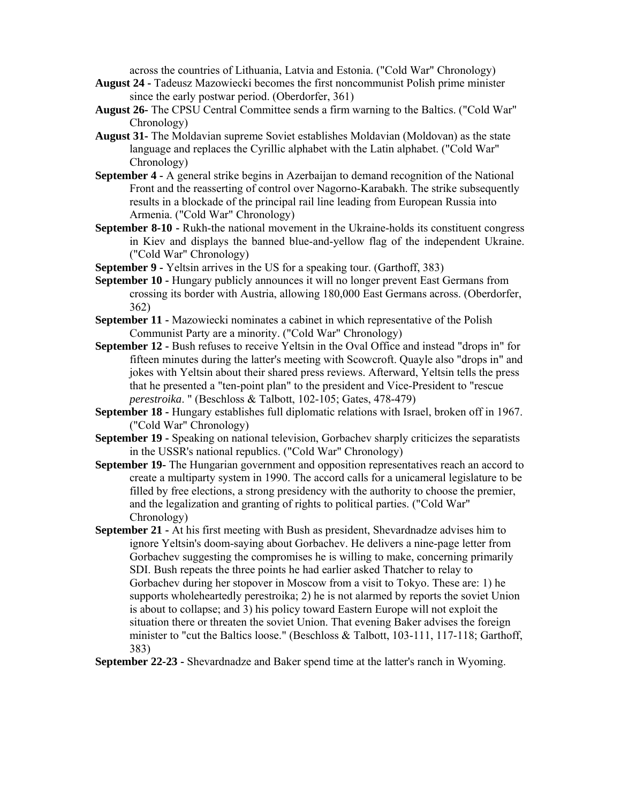across the countries of Lithuania, Latvia and Estonia. ("Cold War" Chronology)

- **August 24 -** Tadeusz Mazowiecki becomes the first noncommunist Polish prime minister since the early postwar period. (Oberdorfer, 361)
- **August 26-** The CPSU Central Committee sends a firm warning to the Baltics. ("Cold War" Chronology)
- **August 31-** The Moldavian supreme Soviet establishes Moldavian (Moldovan) as the state language and replaces the Cyrillic alphabet with the Latin alphabet. ("Cold War" Chronology)
- **September 4 -** A general strike begins in Azerbaijan to demand recognition of the National Front and the reasserting of control over Nagorno-Karabakh. The strike subsequently results in a blockade of the principal rail line leading from European Russia into Armenia. ("Cold War" Chronology)
- **September 8-10 -** Rukh-the national movement in the Ukraine-holds its constituent congress in Kiev and displays the banned blue-and-yellow flag of the independent Ukraine. ("Cold War" Chronology)
- **September 9 -** Yeltsin arrives in the US for a speaking tour. (Garthoff, 383)
- **September 10 -** Hungary publicly announces it will no longer prevent East Germans from crossing its border with Austria, allowing 180,000 East Germans across. (Oberdorfer, 362)
- **September 11 -** Mazowiecki nominates a cabinet in which representative of the Polish Communist Party are a minority. ("Cold War" Chronology)
- **September 12 -** Bush refuses to receive Yeltsin in the Oval Office and instead "drops in" for fifteen minutes during the latter's meeting with Scowcroft. Quayle also "drops in" and jokes with Yeltsin about their shared press reviews. Afterward, Yeltsin tells the press that he presented a "ten-point plan" to the president and Vice-President to "rescue *perestroika*. " (Beschloss & Talbott, 102-105; Gates, 478-479)
- **September 18 -** Hungary establishes full diplomatic relations with Israel, broken off in 1967. ("Cold War" Chronology)
- **September 19 -** Speaking on national television, Gorbachev sharply criticizes the separatists in the USSR's national republics. ("Cold War" Chronology)
- **September 19-** The Hungarian government and opposition representatives reach an accord to create a multiparty system in 1990. The accord calls for a unicameral legislature to be filled by free elections, a strong presidency with the authority to choose the premier, and the legalization and granting of rights to political parties. ("Cold War" Chronology)
- **September 21 -** At his first meeting with Bush as president, Shevardnadze advises him to ignore Yeltsin's doom-saying about Gorbachev. He delivers a nine-page letter from Gorbachev suggesting the compromises he is willing to make, concerning primarily SDI. Bush repeats the three points he had earlier asked Thatcher to relay to Gorbachev during her stopover in Moscow from a visit to Tokyo. These are: 1) he supports wholeheartedly perestroika; 2) he is not alarmed by reports the soviet Union is about to collapse; and 3) his policy toward Eastern Europe will not exploit the situation there or threaten the soviet Union. That evening Baker advises the foreign minister to "cut the Baltics loose." (Beschloss & Talbott, 103-111, 117-118; Garthoff, 383)
- **September 22-23 -** Shevardnadze and Baker spend time at the latter's ranch in Wyoming.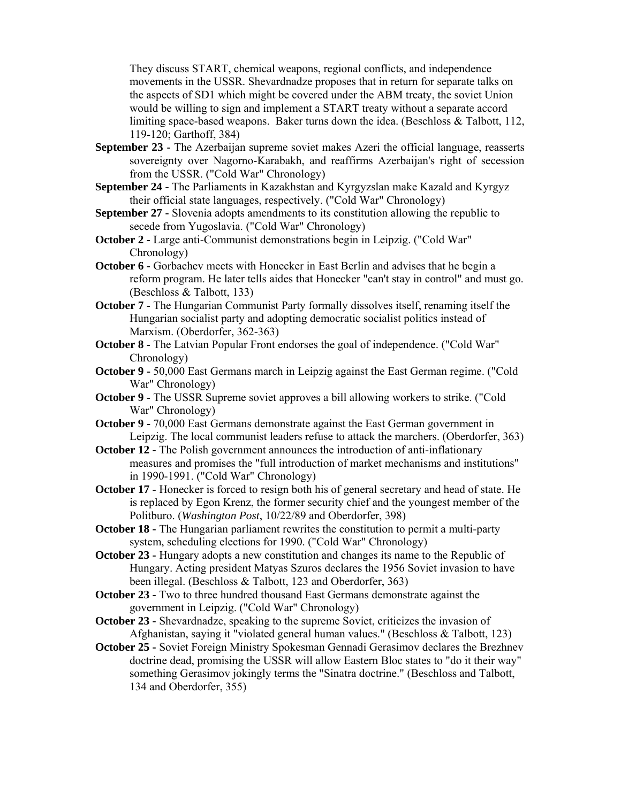They discuss START, chemical weapons, regional conflicts, and independence movements in the USSR. Shevardnadze proposes that in return for separate talks on the aspects of SD1 which might be covered under the ABМ treaty, the soviet Union would be willing to sign and implement a START treaty without a separate accord limiting space-based weapons. Baker turns down the idea. (Beschloss & Talbott, 112, 119-120; Garthoff, 384)

- **September 23 -** The Azerbaijan supreme soviet makes Azeri the official language, reasserts sovereignty over Nagorno-Karabakh, and reaffirms Azerbaijan's right of secession from the USSR. ("Cold War" Chronology)
- **September 24 -** The Parliaments in Kazakhstan and Kyrgyzslan make Kazald and Kyrgyz their official state languages, respectively. ("Cold War" Chronology)
- **September 27 -** Slovenia adopts amendments to its constitution allowing the republic to secede from Yugoslavia. ("Cold War" Chronology)
- **October 2 -** Large anti-Communist demonstrations begin in Leipzig. ("Cold War" Chronology)
- **October 6 -** Gorbachev meets with Honecker in East Berlin and advises that he begin a reform program. He later tells aides that Honecker "can't stay in control" and must go. (Beschloss & Talbott, 133)
- **October 7 -** The Hungarian Communist Party formally dissolves itself, renaming itself the Hungarian socialist party and adopting democratic socialist politics instead of Marxism. (Oberdorfer, 362-363)
- **October 8 -** The Latvian Popular Front endorses the goal of independence. ("Cold War" Chronology)
- **October 9** 50,000 East Germans march in Leipzig against the East German regime. ("Cold War" Chronology)
- **October 9 -** The USSR Supreme soviet approves a bill allowing workers to strike. ("Cold War" Chronology)
- **October 9** 70,000 East Germans demonstrate against the East German government in Leipzig. The local communist leaders refuse to attack the marchers. (Oberdorfer, 363)
- **October 12 -** The Polish government announces the introduction of anti-inflationary measures and promises the "full introduction of market mechanisms and institutions" in 1990-1991. ("Cold War" Chronology)
- **October 17 -** Honecker is forced to resign both his of general secretary and head of state. He is replaced by Egon Krenz, the former security chief and the youngest member of the Politburo. (*Washington Post*, 10/22/89 and Oberdorfer, 398)
- **October 18 -** The Hungarian parliament rewrites the constitution to permit a multi-party system, scheduling elections for 1990. ("Cold War" Chronology)
- **October 23 -** Hungary adopts a new constitution and changes its name to the Republic of Hungary. Acting president Matyas Szuros declares the 1956 Soviet invasion to have been illegal. (Beschloss & Talbott, 123 and Oberdorfer, 363)
- **October 23 -** Two to three hundred thousand East Germans demonstrate against the government in Leipzig. ("Cold War" Chronology)
- **October 23 -** Shevardnadze, speaking to the supreme Soviet, criticizes the invasion of Afghanistan, saying it "violated general human values." (Beschloss & Talbott, 123)
- **October 25 -** Soviet Foreign Ministry Spokesman Gennadi Gerasimov declares the Brezhnev doctrine dead, promising the USSR will allow Eastern Bloc states to "do it their way" something Gerasimov jokingly terms the "Sinatra doctrine." (Beschloss and Talbott, 134 and Oberdorfer, 355)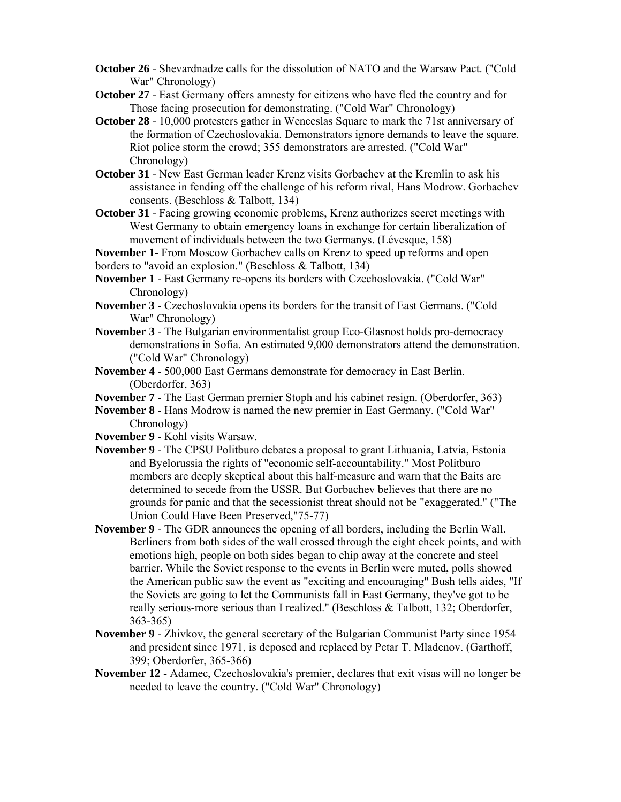- **October 26** Shevardnadze calls for the dissolution of NATO and the Warsaw Pact. ("Cold War" Chronology)
- **October 27** East Germany offers amnesty for citizens who have fled the country and for Those facing prosecution for demonstrating. ("Cold War" Chronology)
- **October 28** 10,000 protesters gather in Wenceslas Square to mark the 71st anniversary of the formation of Czechoslovakia. Demonstrators ignore demands to leave the square. Riot police storm the crowd; 355 demonstrators are arrested. ("Cold War" Chronology)
- **October 31** New East German leader Krenz visits Gorbachev at the Kremlin to ask his assistance in fending off the challenge of his reform rival, Hans Modrow. Gorbachev consents. (Beschloss & Talbott, 134)
- **October 31** Facing growing economic problems, Krenz authorizes secret meetings with West Germany to obtain emergency loans in exchange for certain liberalization of movement of individuals between the two Germanys. (Lévesque, 158)

**November 1**- From Moscow Gorbachev calls on Krenz to speed up reforms and open borders to "avoid an explosion." (Beschloss & Talbott, 134)

- **November 1**  East Germany re-opens its borders with Czechoslovakia. ("Cold War" Chronology)
- **November 3** Czechoslovakia opens its borders for the transit of East Germans. ("Cold War" Chronology)
- **November 3**  The Bulgarian environmentalist group Eco-Glasnost holds pro-democracy demonstrations in Sofia. An estimated 9,000 demonstrators attend the demonstration. ("Cold War" Chronology)
- **November 4**  500,000 East Germans demonstrate for democracy in East Berlin. (Oberdorfer, 363)
- **November 7**  The East German premier Stoph and his cabinet resign. (Oberdorfer, 363)
- **November 8**  Hans Modrow is named the new premier in East Germany. ("Cold War" Chronology)
- **November 9**  Kohl visits Warsaw.
- **November 9**  The CPSU Politburo debates a proposal to grant Lithuania, Latvia, Estonia and Byelorussia the rights of "economic self-accountability." Most Politburo members are deeply skeptical about this half-measure and warn that the Baits are determined to secede from the USSR. But Gorbachev believes that there are no grounds for panic and that the secessionist threat should not be "exaggerated." ("The Union Could Have Been Preserved,"75-77)
- **November 9** The GDR announces the opening of all borders, including the Berlin Wall. Berliners from both sides of the wall crossed through the eight check points, and with emotions high, people on both sides began to chip away at the concrete and steel barrier. While the Soviet response to the events in Berlin were muted, polls showed the American public saw the event as "exciting and encouraging" Bush tells aides, "If the Soviets are going to let the Communists fall in East Germany, they've got to be really serious-more serious than I realized." (Beschloss & Talbott, 132; Oberdorfer, 363-365)
- **November 9** Zhivkov, the general secretary of the Bulgarian Communist Party since 1954 and president since 1971, is deposed and replaced by Petar T. Mladenov. (Garthoff, 399; Oberdorfer, 365-366)
- **November 12** Adamec, Czechoslovakia's premier, declares that exit visas will no longer be needed to leave the country. ("Cold War" Chronology)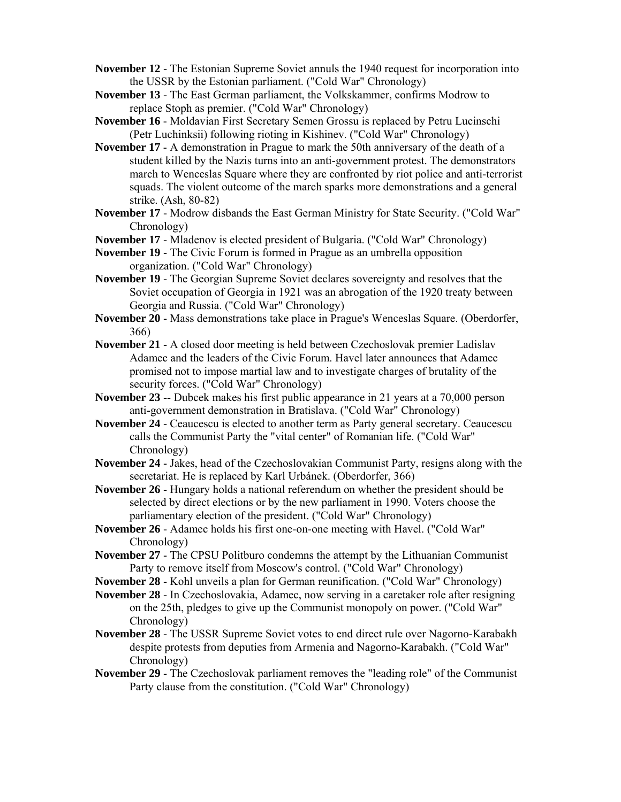- **November 12** The Estonian Supreme Soviet annuls the 1940 request for incorporation into the USSR by the Estonian parliament. ("Cold War" Chronology)
- **November 13** The East German parliament, the Volkskammer, confirms Modrow to replace Stoph as premier. ("Cold War" Chronology)
- **November 16**  Moldavian First Secretary Semen Grossu is replaced by Petru Lucinschi (Petr Luchinksii) following rioting in Kishinev. ("Cold War" Chronology)
- **November 17**  A demonstration in Prague to mark the 50th anniversary of the death of a student killed by the Nazis turns into an anti-government protest. The demonstrators march to Wenceslas Square where they are confronted by riot police and anti-terrorist squads. The violent outcome of the march sparks more demonstrations and a general strike. (Ash, 80-82)
- **November 17** Modrow disbands the East German Ministry for State Security. ("Cold War" Chronology)
- **November 17** Mladenov is elected president of Bulgaria. ("Cold War" Chronology)
- **November 19** The Civic Forum is formed in Prague as an umbrella opposition organization. ("Cold War" Chronology)
- **November 19** The Georgian Supreme Soviet declares sovereignty and resolves that the Soviet occupation of Georgia in 1921 was an abrogation of the 1920 treaty between Georgia and Russia. ("Cold War" Chronology)
- **November 20**  Mass demonstrations take place in Prague's Wenceslas Square. (Oberdorfer, 366)
- **November 21** A closed door meeting is held between Czechoslovak premier Ladislav Adamec and the leaders of the Civic Forum. Havel later announces that Adamec promised not to impose martial law and to investigate charges of brutality of the security forces. ("Cold War" Chronology)
- **November 23** -- Dubcek makes his first public appearance in 21 years at a 70,000 person anti-government demonstration in Bratislava. ("Cold War" Chronology)
- **November 24** Ceaucescu is elected to another term as Party general secretary. Ceaucescu calls the Communist Party the "vital center" of Romanian life. ("Cold War" Chronology)
- **November 24** Jakes, head of the Czechoslovakian Communist Party, resigns along with the secretariat. He is replaced by Karl Urbánek. (Oberdorfer, 366)
- **November 26** Hungary holds a national referendum on whether the president should be selected by direct elections or by the new parliament in 1990. Voters choose the parliamentary election of the president. ("Cold War" Chronology)
- **November 26** Adamec holds his first one-on-one meeting with Havel. ("Cold War" Chronology)
- **November 27** The CPSU Politburo condemns the attempt by the Lithuanian Communist Party to remove itself from Moscow's control. ("Cold War" Chronology)
- **November 28** Kohl unveils a plan for German reunification. ("Cold War" Chronology)
- **November 28** In Czechoslovakia, Adamec, now serving in a caretaker role after resigning on the 25th, pledges to give up the Communist monopoly on power. ("Cold War" Chronology)
- **November 28** The USSR Supreme Soviet votes to end direct rule over Nagorno-Karabakh despite protests from deputies from Armenia and Nagorno-Karabakh. ("Cold War" Chronology)
- **November 29** The Czechoslovak parliament removes the "leading role" of the Communist Party clause from the constitution. ("Cold War" Chronology)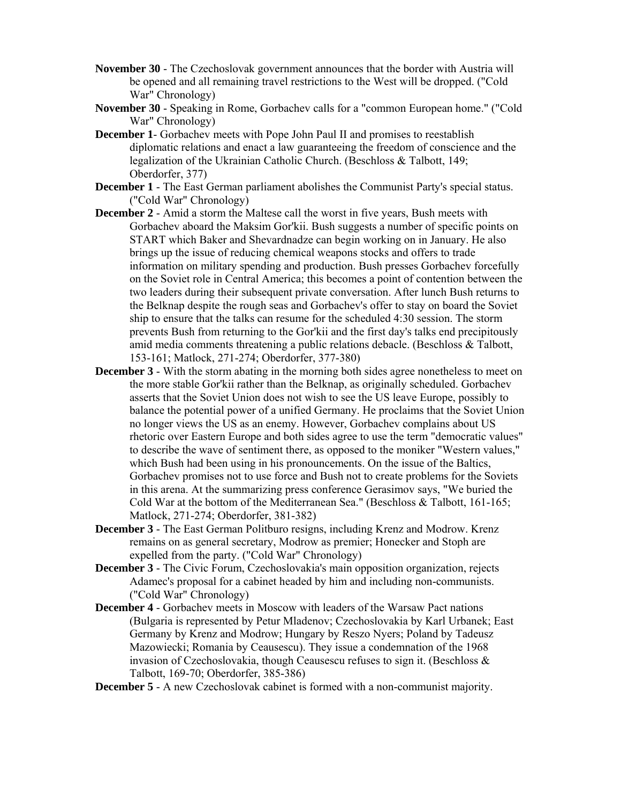- **November 30** The Czechoslovak government announces that the border with Austria will be opened and all remaining travel restrictions to the West will be dropped. ("Cold War" Chronology)
- **November 30** Speaking in Rome, Gorbachev calls for a "common European home." ("Cold War" Chronology)
- **December 1** Gorbachev meets with Pope John Paul II and promises to reestablish diplomatic relations and enact a law guaranteeing the freedom of conscience and the legalization of the Ukrainian Catholic Church. (Beschloss & Talbott, 149; Oberdorfer, 377)
- **December 1**  The East German parliament abolishes the Communist Party's special status. ("Cold War" Chronology)
- **December 2** Amid a storm the Maltese call the worst in five years, Bush meets with Gorbachev aboard the Maksim Gor'kii. Bush suggests a number of specific points on START which Baker and Shevardnadze can begin working on in January. He also brings up the issue of reducing chemical weapons stocks and offers to trade information on military spending and production. Bush presses Gorbachev forcefully on the Soviet role in Central America; this becomes a point of contention between the two leaders during their subsequent private conversation. After lunch Bush returns to the Belknap despite the rough seas and Gorbachev's offer to stay on board the Soviet ship to ensure that the talks can resume for the scheduled 4:30 session. The storm prevents Bush from returning to the Gor'kii and the first day's talks end precipitously amid media comments threatening a public relations debacle. (Beschloss & Talbott, 153-161; Matlock, 271-274; Oberdorfer, 377-380)
- **December 3** With the storm abating in the morning both sides agree nonetheless to meet on the more stable Gor'kii rather than the Belknap, as originally scheduled. Gorbachev asserts that the Soviet Union does not wish to see the US leave Europe, possibly to balance the potential power of a unified Germany. He proclaims that the Soviet Union no longer views the US as an enemy. However, Gorbachev complains about US rhetoric over Eastern Europe and both sides agree to use the term "democratic values" to describe the wave of sentiment there, as opposed to the moniker "Western values," which Bush had been using in his pronouncements. On the issue of the Baltics, Gorbachev promises not to use force and Bush not to create problems for the Soviets in this arena. At the summarizing press conference Gerasimov says, "We buried the Cold War at the bottom of the Mediterranean Sea." (Beschloss & Talbott, 161-165; Matlock, 271-274; Oberdorfer, 381-382)
- **December 3** The East German Politburo resigns, including Krenz and Modrow. Krenz remains on as general secretary, Modrow as premier; Honecker and Stoph are expelled from the party. ("Cold War" Chronology)
- **December 3** The Civic Forum, Czechoslovakia's main opposition organization, rejects Adamec's proposal for a cabinet headed by him and including non-communists. ("Cold War" Chronology)
- **December 4**  Gorbachev meets in Moscow with leaders of the Warsaw Pact nations (Bulgaria is represented by Petur Mladenov; Czechoslovakia by Karl Urbanek; East Germany by Krenz and Modrow; Hungary by Reszo Nyers; Poland by Tadeusz Mazowiecki; Romania by Ceausescu). They issue a condemnation of the 1968 invasion of Czechoslovakia, though Ceausescu refuses to sign it. (Beschloss  $\&$ Talbott, 169-70; Oberdorfer, 385-386)
- **December 5** A new Czechoslovak cabinet is formed with a non-communist majority.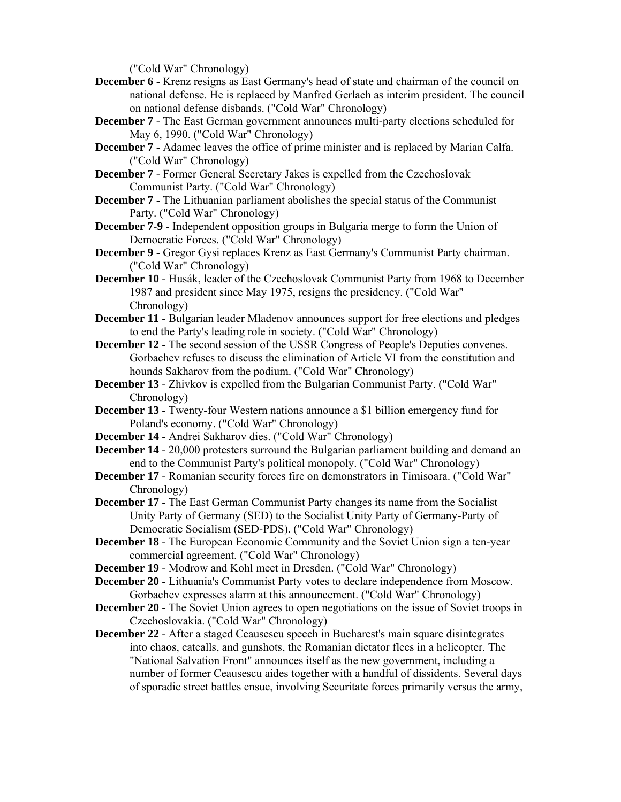("Cold War" Chronology)

- **December 6**  Krenz resigns as East Germany's head of state and chairman of the council on national defense. He is replaced by Manfred Gerlach as interim president. The council on national defense disbands. ("Cold War" Chronology)
- **December 7** The East German government announces multi-party elections scheduled for May 6, 1990. ("Cold War" Chronology)
- **December 7** Adamec leaves the office of prime minister and is replaced by Marian Calfa. ("Cold War" Chronology)
- **December 7** Former General Secretary Jakes is expelled from the Czechoslovak Communist Party. ("Cold War" Chronology)
- **December 7**  The Lithuanian parliament abolishes the special status of the Communist Party. ("Cold War" Chronology)
- **December 7-9** Independent opposition groups in Bulgaria merge to form the Union of Democratic Forces. ("Cold War" Chronology)
- **December 9** Gregor Gysi replaces Krenz as East Germany's Communist Party chairman. ("Cold War" Chronology)
- **December 10** Husák, leader of the Czechoslovak Communist Party from 1968 to December 1987 and president since May 1975, resigns the presidency. ("Cold War" Chronology)
- **December 11** Bulgarian leader Mladenov announces support for free elections and pledges to end the Party's leading role in society. ("Cold War" Chronology)
- **December 12** The second session of the USSR Congress of People's Deputies convenes. Gorbachev refuses to discuss the elimination of Article VI from the constitution and hounds Sakharov from the podium. ("Cold War" Chronology)
- **December 13** Zhivkov is expelled from the Bulgarian Communist Party. ("Cold War" Chronology)
- **December 13** Twenty-four Western nations announce a \$1 billion emergency fund for Poland's economy. ("Cold War" Chronology)
- **December 14** Andrei Sakharov dies. ("Cold War" Chronology)
- **December 14** 20,000 protesters surround the Bulgarian parliament building and demand an end to the Communist Party's political monopoly. ("Cold War" Chronology)
- **December 17** Romanian security forces fire on demonstrators in Timisoara. ("Cold War" Chronology)
- **December 17** The East German Communist Party changes its name from the Socialist Unity Party of Germany (SED) to the Socialist Unity Party of Germany-Party of Democratic Socialism (SED-PDS). ("Cold War" Chronology)
- **December 18** The European Economic Community and the Soviet Union sign a ten-year commercial agreement. ("Cold War" Chronology)
- **December 19** Modrow and Kohl meet in Dresden. ("Cold War" Chronology)
- **December 20** Lithuania's Communist Party votes to declare independence from Moscow. Gorbachev expresses alarm at this announcement. ("Cold War" Chronology)
- **December 20** The Soviet Union agrees to open negotiations on the issue of Soviet troops in Czechoslovakia. ("Cold War" Chronology)
- **December 22** After a staged Ceausescu speech in Bucharest's main square disintegrates into chaos, catcalls, and gunshots, the Romanian dictator flees in a helicopter. The "National Salvation Front" announces itself as the new government, including a number of former Ceausescu aides together with a handful of dissidents. Several days of sporadic street battles ensue, involving Securitate forces primarily versus the army,